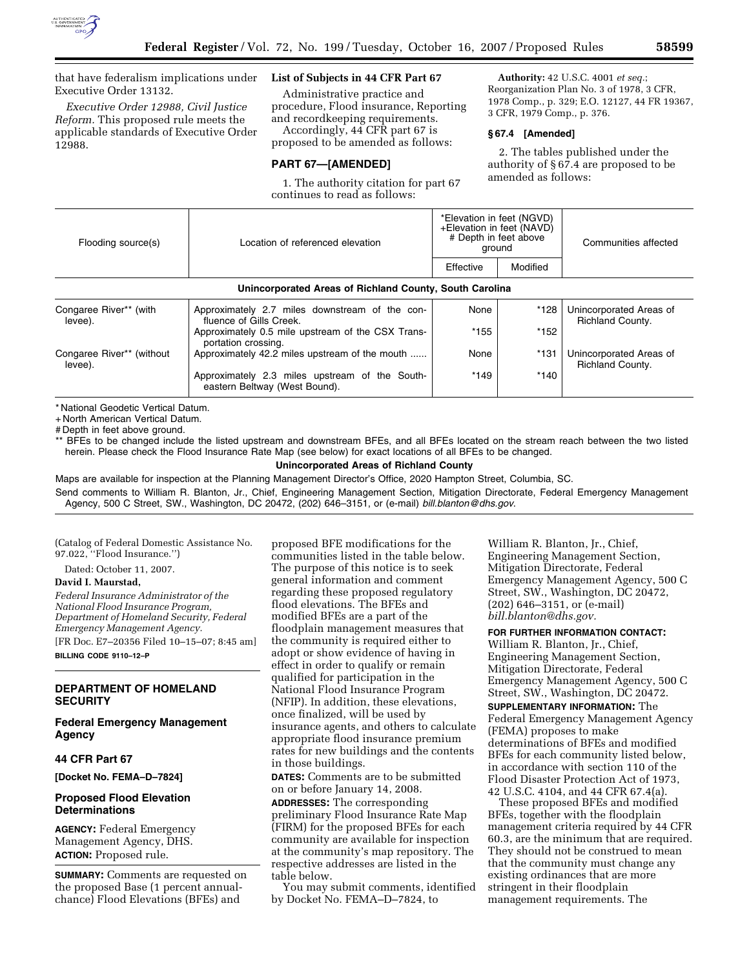

that have federalism implications under Executive Order 13132.

*Executive Order 12988, Civil Justice Reform.* This proposed rule meets the applicable standards of Executive Order 12988.

## **List of Subjects in 44 CFR Part 67**

Administrative practice and procedure, Flood insurance, Reporting and recordkeeping requirements.

Accordingly, 44 CFR part 67 is proposed to be amended as follows:

#### **PART 67—[AMENDED]**

1. The authority citation for part 67 continues to read as follows:

**Authority:** 42 U.S.C. 4001 *et seq.*; Reorganization Plan No. 3 of 1978, 3 CFR, 1978 Comp., p. 329; E.O. 12127, 44 FR 19367, 3 CFR, 1979 Comp., p. 376.

#### **§ 67.4 [Amended]**

2. The tables published under the authority of § 67.4 are proposed to be amended as follows:

| Flooding source(s)                                      | Location of referenced elevation                                                | *Elevation in feet (NGVD)<br>+Elevation in feet (NAVD)<br># Depth in feet above<br>ground |          | Communities affected                        |  |
|---------------------------------------------------------|---------------------------------------------------------------------------------|-------------------------------------------------------------------------------------------|----------|---------------------------------------------|--|
|                                                         |                                                                                 | Effective                                                                                 | Modified |                                             |  |
| Unincorporated Areas of Richland County, South Carolina |                                                                                 |                                                                                           |          |                                             |  |
| Congaree River** (with<br>levee).                       | Approximately 2.7 miles downstream of the con-<br>fluence of Gills Creek.       | None                                                                                      | *128     | Unincorporated Areas of<br>Richland County. |  |
|                                                         | Approximately 0.5 mile upstream of the CSX Trans-<br>portation crossing.        | *155                                                                                      | $*152$   |                                             |  |
| Congaree River** (without<br>levee).                    | Approximately 42.2 miles upstream of the mouth                                  | None                                                                                      | $*131$   | Unincorporated Areas of<br>Richland County. |  |
|                                                         | Approximately 2.3 miles upstream of the South-<br>eastern Beltway (West Bound). | $*149$                                                                                    | $*140$   |                                             |  |
|                                                         |                                                                                 |                                                                                           |          |                                             |  |

\* National Geodetic Vertical Datum.

+ North American Vertical Datum.

# Depth in feet above ground.

\*\* BFEs to be changed include the listed upstream and downstream BFEs, and all BFEs located on the stream reach between the two listed herein. Please check the Flood Insurance Rate Map (see below) for exact locations of all BFEs to be changed.

# **Unincorporated Areas of Richland County**

Maps are available for inspection at the Planning Management Director's Office, 2020 Hampton Street, Columbia, SC. Send comments to William R. Blanton, Jr., Chief, Engineering Management Section, Mitigation Directorate, Federal Emergency Management Agency, 500 C Street, SW., Washington, DC 20472, (202) 646–3151, or (e-mail) *bill.blanton@dhs.gov*.

(Catalog of Federal Domestic Assistance No. 97.022, ''Flood Insurance.'')

Dated: October 11, 2007.

**David I. Maurstad,** 

*Federal Insurance Administrator of the National Flood Insurance Program, Department of Homeland Security, Federal Emergency Management Agency.* 

[FR Doc. E7–20356 Filed 10–15–07; 8:45 am] **BILLING CODE 9110–12–P** 

## **DEPARTMENT OF HOMELAND SECURITY**

## **Federal Emergency Management Agency**

## **44 CFR Part 67**

**[Docket No. FEMA–D–7824]** 

## **Proposed Flood Elevation Determinations**

**AGENCY:** Federal Emergency Management Agency, DHS. **ACTION:** Proposed rule.

**SUMMARY:** Comments are requested on the proposed Base (1 percent annualchance) Flood Elevations (BFEs) and

proposed BFE modifications for the communities listed in the table below. The purpose of this notice is to seek general information and comment regarding these proposed regulatory flood elevations. The BFEs and modified BFEs are a part of the floodplain management measures that the community is required either to adopt or show evidence of having in effect in order to qualify or remain qualified for participation in the National Flood Insurance Program (NFIP). In addition, these elevations, once finalized, will be used by insurance agents, and others to calculate appropriate flood insurance premium rates for new buildings and the contents in those buildings.

**DATES:** Comments are to be submitted on or before January 14, 2008.

**ADDRESSES:** The corresponding preliminary Flood Insurance Rate Map (FIRM) for the proposed BFEs for each community are available for inspection at the community's map repository. The respective addresses are listed in the table below.

You may submit comments, identified by Docket No. FEMA–D–7824, to

William R. Blanton, Jr., Chief, Engineering Management Section, Mitigation Directorate, Federal Emergency Management Agency, 500 C Street, SW., Washington, DC 20472, (202) 646–3151, or (e-mail) *bill.blanton@dhs.gov.* 

**FOR FURTHER INFORMATION CONTACT:** 

William R. Blanton, Jr., Chief, Engineering Management Section, Mitigation Directorate, Federal Emergency Management Agency, 500 C Street, SW., Washington, DC 20472.

**SUPPLEMENTARY INFORMATION:** The Federal Emergency Management Agency (FEMA) proposes to make determinations of BFEs and modified BFEs for each community listed below, in accordance with section 110 of the Flood Disaster Protection Act of 1973, 42 U.S.C. 4104, and 44 CFR 67.4(a).

These proposed BFEs and modified BFEs, together with the floodplain management criteria required by 44 CFR 60.3, are the minimum that are required. They should not be construed to mean that the community must change any existing ordinances that are more stringent in their floodplain management requirements. The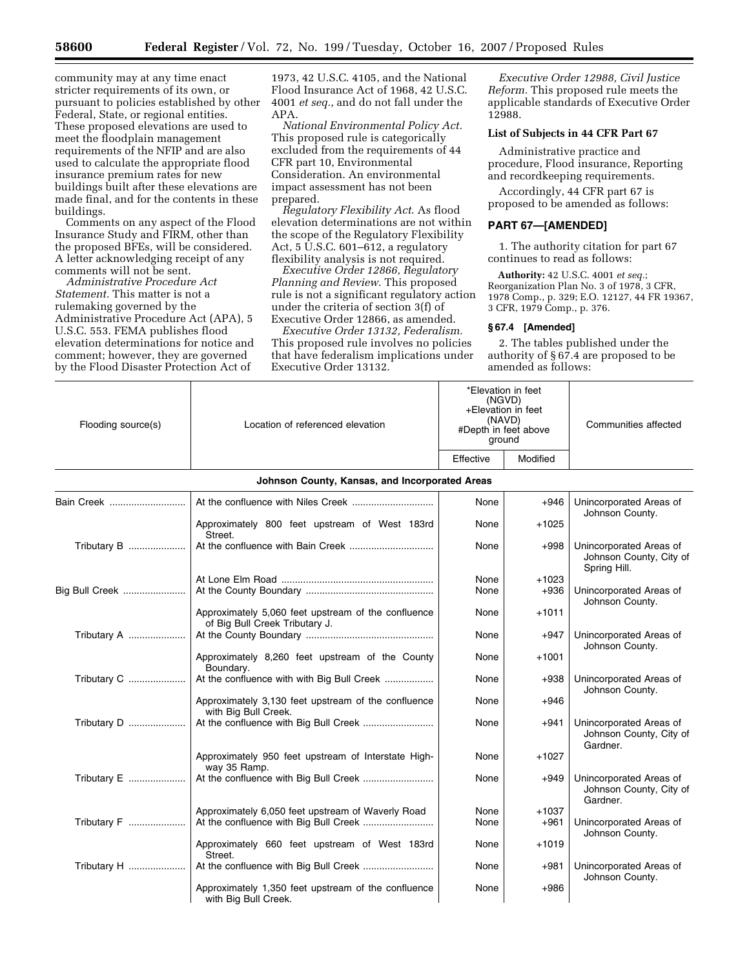community may at any time enact stricter requirements of its own, or pursuant to policies established by other Federal, State, or regional entities. These proposed elevations are used to meet the floodplain management requirements of the NFIP and are also used to calculate the appropriate flood insurance premium rates for new buildings built after these elevations are made final, and for the contents in these buildings.

Comments on any aspect of the Flood Insurance Study and FIRM, other than the proposed BFEs, will be considered. A letter acknowledging receipt of any comments will not be sent.

*Administrative Procedure Act Statement.* This matter is not a rulemaking governed by the Administrative Procedure Act (APA), 5 U.S.C. 553. FEMA publishes flood elevation determinations for notice and comment; however, they are governed by the Flood Disaster Protection Act of

1973, 42 U.S.C. 4105, and the National Flood Insurance Act of 1968, 42 U.S.C. 4001 *et seq.*, and do not fall under the APA.

*National Environmental Policy Act.*  This proposed rule is categorically excluded from the requirements of 44 CFR part 10, Environmental Consideration. An environmental impact assessment has not been prepared.

*Regulatory Flexibility Act*. As flood elevation determinations are not within the scope of the Regulatory Flexibility Act,  $5 \overline{U}$ .S.C.  $601 - 612$ , a regulatory flexibility analysis is not required.

*Executive Order 12866, Regulatory Planning and Review*. This proposed rule is not a significant regulatory action under the criteria of section 3(f) of Executive Order 12866, as amended.

*Executive Order 13132, Federalism.*  This proposed rule involves no policies that have federalism implications under Executive Order 13132.

*Executive Order 12988, Civil Justice Reform.* This proposed rule meets the applicable standards of Executive Order 12988.

## **List of Subjects in 44 CFR Part 67**

Administrative practice and procedure, Flood insurance, Reporting and recordkeeping requirements.

Accordingly, 44 CFR part 67 is proposed to be amended as follows:

#### **PART 67—[AMENDED]**

1. The authority citation for part 67 continues to read as follows:

**Authority:** 42 U.S.C. 4001 *et seq.*; Reorganization Plan No. 3 of 1978, 3 CFR, 1978 Comp., p. 329; E.O. 12127, 44 FR 19367, 3 CFR, 1979 Comp., p. 376.

### **§ 67.4 [Amended]**

2. The tables published under the authority of § 67.4 are proposed to be amended as follows:

| Flooding source(s) | Location of referenced elevation                                                      | *Elevation in feet<br>(NGVD)<br>+Elevation in feet<br>(NAVD)<br>#Depth in feet above<br>ground |          | Communities affected                                               |  |
|--------------------|---------------------------------------------------------------------------------------|------------------------------------------------------------------------------------------------|----------|--------------------------------------------------------------------|--|
|                    |                                                                                       | Effective                                                                                      | Modified |                                                                    |  |
|                    | Johnson County, Kansas, and Incorporated Areas                                        |                                                                                                |          |                                                                    |  |
| Bain Creek         |                                                                                       | None                                                                                           | $+946$   | Unincorporated Areas of<br>Johnson County.                         |  |
|                    | Approximately 800 feet upstream of West 183rd<br>Street.                              | None                                                                                           | $+1025$  |                                                                    |  |
| Tributary B        |                                                                                       | None                                                                                           | $+998$   | Unincorporated Areas of<br>Johnson County, City of<br>Spring Hill. |  |
|                    |                                                                                       | None                                                                                           | $+1023$  |                                                                    |  |
| Big Bull Creek     |                                                                                       | None                                                                                           | $+936$   | Unincorporated Areas of<br>Johnson County.                         |  |
|                    | Approximately 5,060 feet upstream of the confluence<br>of Big Bull Creek Tributary J. | None                                                                                           | $+1011$  |                                                                    |  |
| Tributary A        |                                                                                       | None                                                                                           | $+947$   | Unincorporated Areas of<br>Johnson County.                         |  |
|                    | Approximately 8,260 feet upstream of the County<br>Boundary.                          | None                                                                                           | $+1001$  |                                                                    |  |
| Tributary C        | At the confluence with with Big Bull Creek                                            | None                                                                                           | $+938$   | Unincorporated Areas of<br>Johnson County.                         |  |
|                    | Approximately 3,130 feet upstream of the confluence<br>with Big Bull Creek.           | None                                                                                           | $+946$   |                                                                    |  |
| Tributary D        |                                                                                       | None                                                                                           | $+941$   | Unincorporated Areas of<br>Johnson County, City of<br>Gardner.     |  |
|                    | Approximately 950 feet upstream of Interstate High-<br>way 35 Ramp.                   | None                                                                                           | $+1027$  |                                                                    |  |
| Tributary E        | At the confluence with Big Bull Creek                                                 | None                                                                                           | $+949$   | Unincorporated Areas of<br>Johnson County, City of<br>Gardner.     |  |
|                    | Approximately 6,050 feet upstream of Waverly Road                                     | None                                                                                           | $+1037$  |                                                                    |  |
| Tributary F        |                                                                                       | None                                                                                           | $+961$   | Unincorporated Areas of<br>Johnson County.                         |  |
|                    | Approximately 660 feet upstream of West 183rd<br>Street.                              | None                                                                                           | $+1019$  |                                                                    |  |
| Tributary H        | At the confluence with Big Bull Creek                                                 | None                                                                                           | $+981$   | Unincorporated Areas of<br>Johnson County.                         |  |
|                    | Approximately 1,350 feet upstream of the confluence<br>with Big Bull Creek.           | None                                                                                           | $+986$   |                                                                    |  |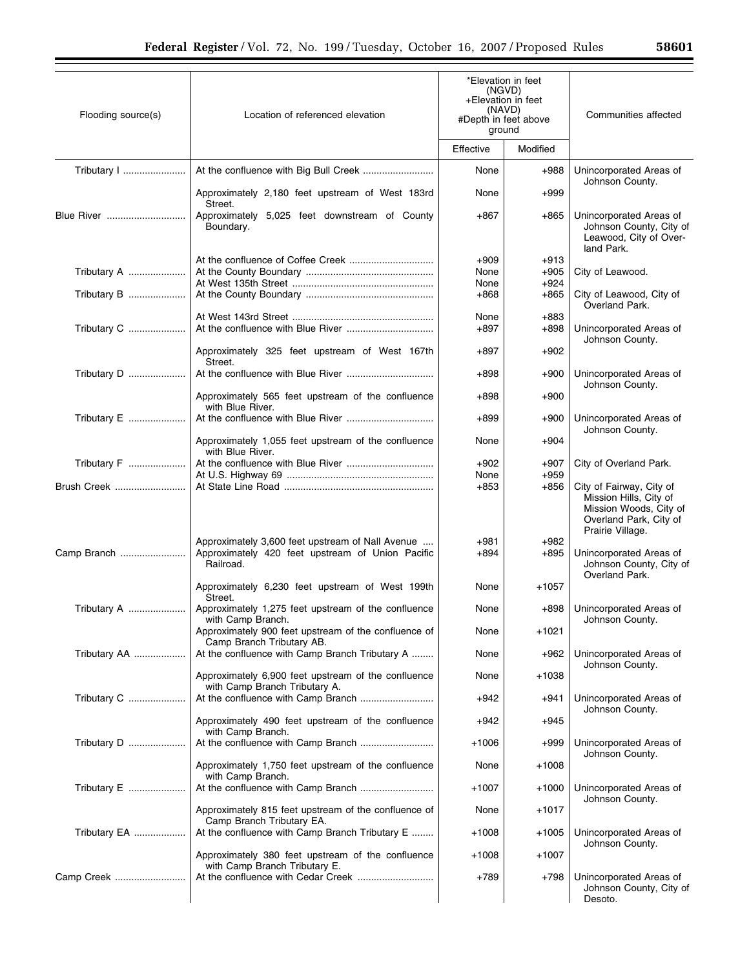| Flooding source(s) | Location of referenced elevation                                                                                  | *Elevation in feet<br>(NGVD)<br>+Elevation in feet<br>(NAVD)<br>#Depth in feet above<br>ground |                  | Communities affected                                                                                                       |  |
|--------------------|-------------------------------------------------------------------------------------------------------------------|------------------------------------------------------------------------------------------------|------------------|----------------------------------------------------------------------------------------------------------------------------|--|
|                    |                                                                                                                   | Effective                                                                                      | Modified         |                                                                                                                            |  |
|                    |                                                                                                                   | None                                                                                           | $+988$           | Unincorporated Areas of<br>Johnson County.                                                                                 |  |
|                    | Approximately 2,180 feet upstream of West 183rd<br>Street.                                                        | None                                                                                           | $+999$           |                                                                                                                            |  |
| Blue River         | Approximately 5,025 feet downstream of County<br>Boundary.                                                        | $+867$                                                                                         | $+865$           | Unincorporated Areas of<br>Johnson County, City of<br>Leawood, City of Over-<br>land Park.                                 |  |
|                    |                                                                                                                   | $+909$                                                                                         | $+913$           |                                                                                                                            |  |
| Tributary A        |                                                                                                                   | None                                                                                           | $+905$           | City of Leawood.                                                                                                           |  |
|                    |                                                                                                                   | None                                                                                           | $+924$           |                                                                                                                            |  |
| Tributary B        |                                                                                                                   | $+868$                                                                                         | +865             | City of Leawood, City of<br>Overland Park.                                                                                 |  |
|                    |                                                                                                                   | None                                                                                           | $+883$           |                                                                                                                            |  |
| Tributary C        |                                                                                                                   | $+897$                                                                                         | +898             | Unincorporated Areas of<br>Johnson County.                                                                                 |  |
|                    | Approximately 325 feet upstream of West 167th<br>Street.                                                          | $+897$                                                                                         | $+902$           |                                                                                                                            |  |
| Tributary D        |                                                                                                                   | $+898$                                                                                         | $+900$           | Unincorporated Areas of<br>Johnson County.                                                                                 |  |
|                    | Approximately 565 feet upstream of the confluence<br>with Blue River.                                             | $+898$                                                                                         | $+900$           |                                                                                                                            |  |
| Tributary E        |                                                                                                                   | $+899$                                                                                         | $+900$           | Unincorporated Areas of<br>Johnson County.                                                                                 |  |
|                    | Approximately 1,055 feet upstream of the confluence<br>with Blue River.                                           | None                                                                                           | $+904$           |                                                                                                                            |  |
| Tributary F        |                                                                                                                   | $+902$<br>None                                                                                 | $+907$<br>$+959$ | City of Overland Park.                                                                                                     |  |
| Brush Creek        |                                                                                                                   | $+853$                                                                                         | $+856$           | City of Fairway, City of<br>Mission Hills, City of<br>Mission Woods, City of<br>Overland Park, City of<br>Prairie Village. |  |
| Camp Branch        | Approximately 3,600 feet upstream of Nall Avenue<br>Approximately 420 feet upstream of Union Pacific<br>Railroad. | +981<br>$+894$                                                                                 | $+982$<br>$+895$ | Unincorporated Areas of<br>Johnson County, City of<br>Overland Park.                                                       |  |
|                    | Approximately 6,230 feet upstream of West 199th<br>Street.                                                        | None                                                                                           | +1057            |                                                                                                                            |  |
| Tributary A        | Approximately 1,275 feet upstream of the confluence<br>with Camp Branch.                                          | None                                                                                           | +898             | Unincorporated Areas of<br>Johnson County.                                                                                 |  |
|                    | Approximately 900 feet upstream of the confluence of<br>Camp Branch Tributary AB.                                 | None                                                                                           | +1021            |                                                                                                                            |  |
| Tributary AA       | At the confluence with Camp Branch Tributary A                                                                    | None                                                                                           | $+962$           | Unincorporated Areas of<br>Johnson County.                                                                                 |  |
|                    | Approximately 6,900 feet upstream of the confluence<br>with Camp Branch Tributary A.                              | None                                                                                           | $+1038$          |                                                                                                                            |  |
| Tributary C        | At the confluence with Camp Branch                                                                                | $+942$                                                                                         | +941             | Unincorporated Areas of<br>Johnson County.                                                                                 |  |
|                    | Approximately 490 feet upstream of the confluence<br>with Camp Branch.                                            | $+942$                                                                                         | $+945$           |                                                                                                                            |  |
| Tributary D        | At the confluence with Camp Branch                                                                                | $+1006$                                                                                        | $+999$           | Unincorporated Areas of<br>Johnson County.                                                                                 |  |
|                    | Approximately 1,750 feet upstream of the confluence<br>with Camp Branch.                                          | None                                                                                           | $+1008$          |                                                                                                                            |  |
| Tributary E        |                                                                                                                   | $+1007$                                                                                        | $+1000$          | Unincorporated Areas of<br>Johnson County.                                                                                 |  |
|                    | Approximately 815 feet upstream of the confluence of<br>Camp Branch Tributary EA.                                 | None                                                                                           | +1017            |                                                                                                                            |  |
| Tributary EA       | At the confluence with Camp Branch Tributary E                                                                    | $+1008$                                                                                        | +1005            | Unincorporated Areas of<br>Johnson County.                                                                                 |  |
|                    | Approximately 380 feet upstream of the confluence<br>with Camp Branch Tributary E.                                | $+1008$                                                                                        | +1007            |                                                                                                                            |  |
| Camp Creek         | At the confluence with Cedar Creek                                                                                | +789                                                                                           | +798             | Unincorporated Areas of<br>Johnson County, City of<br>Desoto.                                                              |  |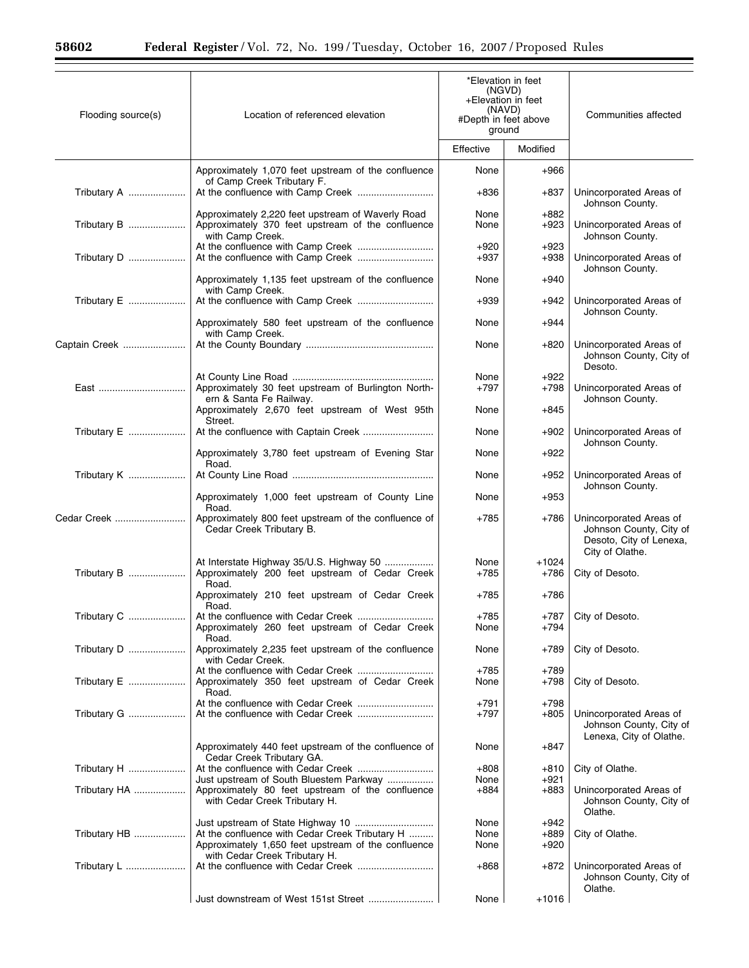$\equiv$ 

| Flooding source(s) | Location of referenced elevation                                                                                           | *Elevation in feet<br>(NGVD)<br>+Elevation in feet<br>(NAVD)<br>#Depth in feet above<br>ground |                  | Communities affected                                                                             |
|--------------------|----------------------------------------------------------------------------------------------------------------------------|------------------------------------------------------------------------------------------------|------------------|--------------------------------------------------------------------------------------------------|
|                    |                                                                                                                            | Effective                                                                                      | Modified         |                                                                                                  |
|                    | Approximately 1,070 feet upstream of the confluence<br>of Camp Creek Tributary F.                                          | None                                                                                           | +966             |                                                                                                  |
| Tributary A        |                                                                                                                            | +836                                                                                           | +837             | Unincorporated Areas of<br>Johnson County.                                                       |
| Tributary B        | Approximately 2,220 feet upstream of Waverly Road<br>Approximately 370 feet upstream of the confluence<br>with Camp Creek. | None<br>None                                                                                   | +882<br>+923     | Unincorporated Areas of<br>Johnson County.                                                       |
| Tributary D        |                                                                                                                            | $+920$<br>$+937$                                                                               | $+923$<br>$+938$ | Unincorporated Areas of                                                                          |
|                    | Approximately 1,135 feet upstream of the confluence<br>with Camp Creek.                                                    | None                                                                                           | $+940$           | Johnson County.                                                                                  |
| Tributary E        |                                                                                                                            | $+939$                                                                                         | +942             | Unincorporated Areas of<br>Johnson County.                                                       |
|                    | Approximately 580 feet upstream of the confluence<br>with Camp Creek.                                                      | None                                                                                           | +944             |                                                                                                  |
| Captain Creek      |                                                                                                                            | None                                                                                           | +820             | Unincorporated Areas of<br>Johnson County, City of<br>Desoto.                                    |
| East               | Approximately 30 feet upstream of Burlington North-<br>ern & Santa Fe Railway.                                             | None<br>$+797$                                                                                 | +922<br>+798     | Unincorporated Areas of<br>Johnson County.                                                       |
|                    | Approximately 2,670 feet upstream of West 95th<br>Street.                                                                  | None                                                                                           | $+845$           |                                                                                                  |
| Tributary E        |                                                                                                                            | None                                                                                           | +902             | Unincorporated Areas of<br>Johnson County.                                                       |
|                    | Approximately 3,780 feet upstream of Evening Star<br>Road.                                                                 | None                                                                                           | $+922$           |                                                                                                  |
| Tributary K        |                                                                                                                            | None                                                                                           | +952             | Unincorporated Areas of<br>Johnson County.                                                       |
|                    | Approximately 1,000 feet upstream of County Line<br>Road.                                                                  | None                                                                                           | $+953$           |                                                                                                  |
| Cedar Creek        | Approximately 800 feet upstream of the confluence of<br>Cedar Creek Tributary B.                                           | +785                                                                                           | +786             | Unincorporated Areas of<br>Johnson County, City of<br>Desoto, City of Lenexa,<br>City of Olathe. |
| Tributary B        | At Interstate Highway 35/U.S. Highway 50<br>Approximately 200 feet upstream of Cedar Creek<br>Road.                        | None<br>$+785$                                                                                 | $+1024$<br>+786  | City of Desoto.                                                                                  |
|                    | Approximately 210 feet upstream of Cedar Creek<br>Road.                                                                    | +785                                                                                           | +786             |                                                                                                  |
| Tributary C        | At the confluence with Cedar Creek<br>Approximately 260 feet upstream of Cedar Creek<br>Road.                              | $+785$<br>None                                                                                 | +794             | +787   City of Desoto.                                                                           |
| Tributary D        | Approximately 2,235 feet upstream of the confluence<br>with Cedar Creek.                                                   | None                                                                                           | +789             | City of Desoto.                                                                                  |
| Tributary E        | Approximately 350 feet upstream of Cedar Creek<br>Road.                                                                    | $+785$<br>None                                                                                 | +789<br>+798     | City of Desoto.                                                                                  |
| Tributary G        | At the confluence with Cedar Creek                                                                                         | +791<br>$+797$                                                                                 | +798<br>+805     | Unincorporated Areas of<br>Johnson County, City of<br>Lenexa, City of Olathe.                    |
|                    | Approximately 440 feet upstream of the confluence of<br>Cedar Creek Tributary GA.                                          | None                                                                                           | +847             |                                                                                                  |
| Tributary H        | Just upstream of South Bluestem Parkway                                                                                    | $+808$<br>None                                                                                 | +810<br>+921     | City of Olathe.                                                                                  |
| Tributary HA       | Approximately 80 feet upstream of the confluence<br>with Cedar Creek Tributary H.                                          | +884                                                                                           | +883             | Unincorporated Areas of<br>Johnson County, City of<br>Olathe.                                    |
| Tributary HB       | At the confluence with Cedar Creek Tributary H                                                                             | None<br>None                                                                                   | +942<br>+889     | City of Olathe.                                                                                  |
|                    | Approximately 1,650 feet upstream of the confluence<br>with Cedar Creek Tributary H.                                       | None                                                                                           | +920             |                                                                                                  |
| Tributary L        |                                                                                                                            | +868                                                                                           | +872             | Unincorporated Areas of<br>Johnson County, City of<br>Olathe.                                    |
|                    |                                                                                                                            | None                                                                                           | $+1016$          |                                                                                                  |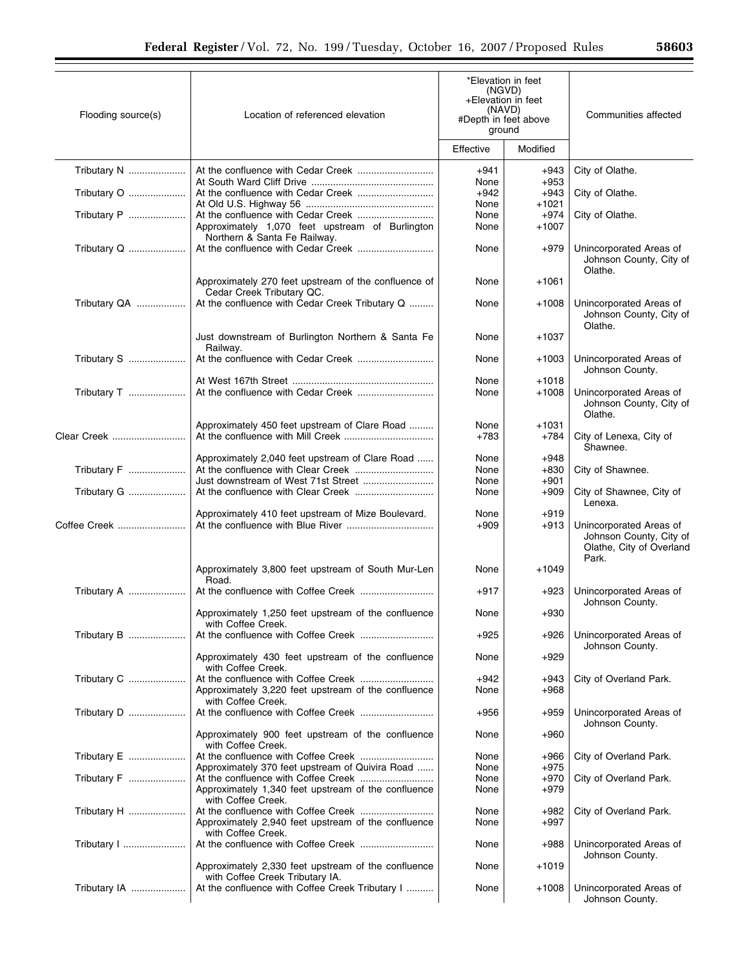| Flooding source(s) | Location of referenced elevation                                                       | *Elevation in feet<br>(NGVD)<br>+Elevation in feet<br>(NAVD)<br>#Depth in feet above<br>ground |                          | Communities affected                                                                    |  |
|--------------------|----------------------------------------------------------------------------------------|------------------------------------------------------------------------------------------------|--------------------------|-----------------------------------------------------------------------------------------|--|
|                    |                                                                                        | Effective                                                                                      | Modified                 |                                                                                         |  |
| Tributary N        |                                                                                        | +941<br>None                                                                                   | $+943$<br>$+953$         | City of Olathe.                                                                         |  |
| Tributary O        |                                                                                        | $+942$                                                                                         | +943                     | City of Olathe.                                                                         |  |
| Tributary P        | Approximately 1,070 feet upstream of Burlington<br>Northern & Santa Fe Railway.        | None<br>None<br>None                                                                           | +1021<br>+974<br>$+1007$ | City of Olathe.                                                                         |  |
| Tributary Q        |                                                                                        | None                                                                                           | $+979$                   | Unincorporated Areas of<br>Johnson County, City of<br>Olathe.                           |  |
|                    | Approximately 270 feet upstream of the confluence of<br>Cedar Creek Tributary QC.      | None                                                                                           | $+1061$                  |                                                                                         |  |
| Tributary QA       | At the confluence with Cedar Creek Tributary Q                                         | None                                                                                           | $+1008$                  | Unincorporated Areas of<br>Johnson County, City of<br>Olathe.                           |  |
|                    | Just downstream of Burlington Northern & Santa Fe<br>Railway.                          | None                                                                                           | $+1037$                  |                                                                                         |  |
| Tributary S        |                                                                                        | None                                                                                           | $+1003$                  | Unincorporated Areas of<br>Johnson County.                                              |  |
| Tributary T        |                                                                                        | None<br>None                                                                                   | $+1018$<br>$+1008$       | Unincorporated Areas of                                                                 |  |
|                    |                                                                                        |                                                                                                |                          | Johnson County, City of<br>Olathe.                                                      |  |
| Clear Creek        | Approximately 450 feet upstream of Clare Road                                          | None<br>$+783$                                                                                 | $+1031$<br>+784          | City of Lenexa, City of<br>Shawnee.                                                     |  |
| Tributary F        | Approximately 2,040 feet upstream of Clare Road                                        | None<br>None<br>None                                                                           | +948<br>$+830$<br>$+901$ | City of Shawnee.                                                                        |  |
|                    |                                                                                        | None                                                                                           | +909                     | City of Shawnee, City of<br>Lenexa.                                                     |  |
| Coffee Creek       | Approximately 410 feet upstream of Mize Boulevard.                                     | None<br>$+909$                                                                                 | $+919$<br>+913           | Unincorporated Areas of<br>Johnson County, City of<br>Olathe, City of Overland<br>Park. |  |
|                    | Approximately 3,800 feet upstream of South Mur-Len<br>Road.                            | None                                                                                           | $+1049$                  |                                                                                         |  |
| Tributary A        |                                                                                        | $+917$                                                                                         | $+923$                   | Unincorporated Areas of<br>Johnson County.                                              |  |
|                    | Approximately 1,250 feet upstream of the confluence<br>with Coffee Creek.              | None                                                                                           | $+930$                   |                                                                                         |  |
| Tributary B        |                                                                                        | $+925$                                                                                         | +926                     | Unincorporated Areas of<br>Johnson County.                                              |  |
|                    | Approximately 430 feet upstream of the confluence<br>with Coffee Creek.                | None                                                                                           | +929                     |                                                                                         |  |
| Tributary C        | Approximately 3,220 feet upstream of the confluence<br>with Coffee Creek.              | $+942$<br>None                                                                                 | +943<br>+968             | City of Overland Park.                                                                  |  |
| Tributary D        |                                                                                        | $+956$                                                                                         | +959                     | Unincorporated Areas of<br>Johnson County.                                              |  |
|                    | Approximately 900 feet upstream of the confluence<br>with Coffee Creek.                | None                                                                                           | +960                     |                                                                                         |  |
| Tributary E        | Approximately 370 feet upstream of Quivira Road                                        | None<br>None                                                                                   | +966<br>$+975$           | City of Overland Park.                                                                  |  |
| Tributary F        | Approximately 1,340 feet upstream of the confluence<br>with Coffee Creek.              | None<br>None                                                                                   | $+970$<br>$+979$         | City of Overland Park.                                                                  |  |
| Tributary H        | Approximately 2,940 feet upstream of the confluence<br>with Coffee Creek.              | None<br>None                                                                                   | +982<br>+997             | City of Overland Park.                                                                  |  |
| Tributary I        | At the confluence with Coffee Creek                                                    | None                                                                                           | $+988$                   | Unincorporated Areas of<br>Johnson County.                                              |  |
|                    | Approximately 2,330 feet upstream of the confluence<br>with Coffee Creek Tributary IA. | None                                                                                           | +1019                    |                                                                                         |  |
| Tributary IA       | At the confluence with Coffee Creek Tributary I                                        | None                                                                                           | $+1008$                  | Unincorporated Areas of<br>Johnson County.                                              |  |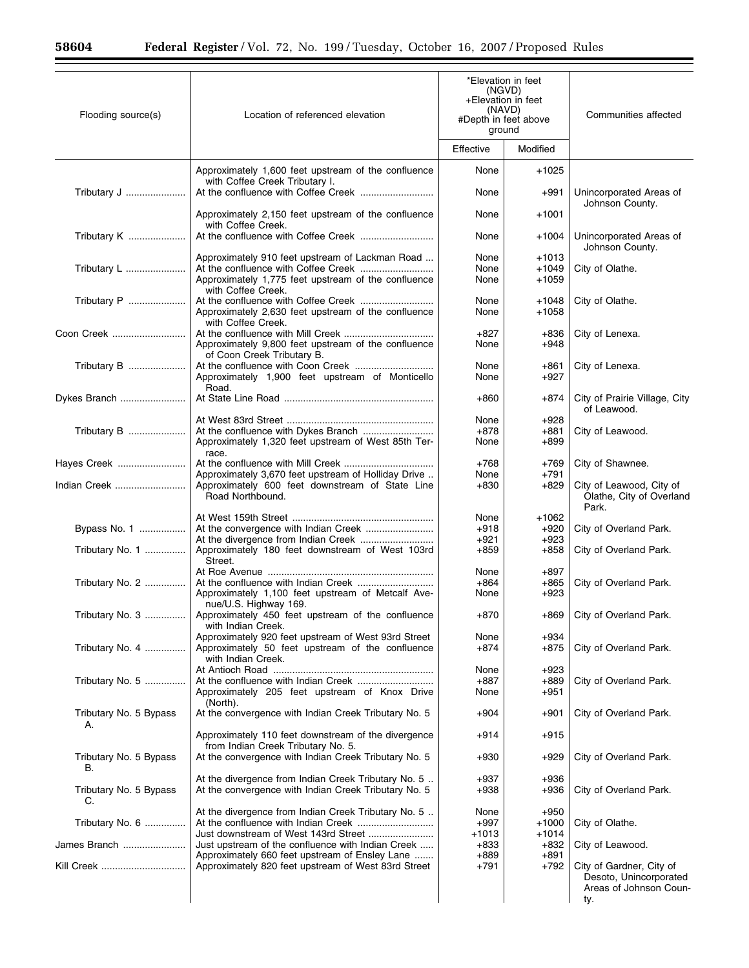$\equiv$ 

| Flooding source(s)           | Location of referenced elevation                                                                                              | *Elevation in feet<br>(NGVD)<br>+Elevation in feet<br>(NAVD)<br>#Depth in feet above<br>ground |                               | Communities affected                                                                |  |
|------------------------------|-------------------------------------------------------------------------------------------------------------------------------|------------------------------------------------------------------------------------------------|-------------------------------|-------------------------------------------------------------------------------------|--|
|                              |                                                                                                                               | Effective                                                                                      | Modified                      |                                                                                     |  |
|                              | Approximately 1,600 feet upstream of the confluence<br>with Coffee Creek Tributary I.                                         | None                                                                                           | $+1025$                       |                                                                                     |  |
| Tributary J                  |                                                                                                                               | None                                                                                           | +991                          | Unincorporated Areas of<br>Johnson County.                                          |  |
|                              | Approximately 2,150 feet upstream of the confluence<br>with Coffee Creek.                                                     | None                                                                                           | $+1001$                       |                                                                                     |  |
| Tributary K                  |                                                                                                                               | None                                                                                           | $+1004$                       | Unincorporated Areas of<br>Johnson County.                                          |  |
| Tributary L                  | Approximately 910 feet upstream of Lackman Road<br>Approximately 1,775 feet upstream of the confluence                        | None<br>None<br>None                                                                           | $+1013$<br>$+1049$<br>$+1059$ | City of Olathe.                                                                     |  |
| Tributary P                  | with Coffee Creek.<br>At the confluence with Coffee Creek<br>Approximately 2,630 feet upstream of the confluence              | None<br>None                                                                                   | +1048<br>$+1058$              | City of Olathe.                                                                     |  |
| Coon Creek                   | with Coffee Creek.<br>Approximately 9,800 feet upstream of the confluence                                                     | $+827$<br>None                                                                                 | +836<br>$+948$                | City of Lenexa.                                                                     |  |
| Tributary B                  | of Coon Creek Tributary B.<br>At the confluence with Coon Creek<br>Approximately 1,900 feet upstream of Monticello            | None<br>None                                                                                   | +861<br>$+927$                | City of Lenexa.                                                                     |  |
| Dykes Branch                 | Road.                                                                                                                         | +860                                                                                           | +874                          | City of Prairie Village, City                                                       |  |
|                              |                                                                                                                               | None                                                                                           | $+928$                        | of Leawood.                                                                         |  |
| Tributary B                  | Approximately 1,320 feet upstream of West 85th Ter-<br>race.                                                                  | $+878$<br>None                                                                                 | +881<br>+899                  | City of Leawood.                                                                    |  |
| Hayes Creek                  | Approximately 3,670 feet upstream of Holliday Drive                                                                           | $+768$<br>None                                                                                 | +769<br>+791                  | City of Shawnee.                                                                    |  |
| Indian Creek                 | Approximately 600 feet downstream of State Line<br>Road Northbound.                                                           | $+830$                                                                                         | $+829$                        | City of Leawood, City of<br>Olathe, City of Overland<br>Park.                       |  |
| Bypass No. 1                 | At the convergence with Indian Creek                                                                                          | None<br>$+918$                                                                                 | +1062<br>+920                 | City of Overland Park.                                                              |  |
| Tributary No. 1              | At the divergence from Indian Creek<br>Approximately 180 feet downstream of West 103rd<br>Street.                             | $+921$<br>$+859$                                                                               | $+923$<br>$+858$              | City of Overland Park.                                                              |  |
| Tributary No. 2              | Approximately 1,100 feet upstream of Metcalf Ave-<br>nue/U.S. Highway 169.                                                    | None<br>$+864$<br>None                                                                         | $+897$<br>+865<br>$+923$      | City of Overland Park.                                                              |  |
| Tributary No. 3              | Approximately 450 feet upstream of the confluence<br>with Indian Creek.                                                       | $+870$                                                                                         |                               | +869   City of Overland Park.                                                       |  |
| Tributary No. 4              | Approximately 920 feet upstream of West 93rd Street<br>Approximately 50 feet upstream of the confluence<br>with Indian Creek. | None<br>$+874$                                                                                 | $+934$<br>+875                | City of Overland Park.                                                              |  |
| Tributary No. 5              | Approximately 205 feet upstream of Knox Drive                                                                                 | None<br>+887<br>None                                                                           | $+923$<br>+889<br>+951        | City of Overland Park.                                                              |  |
| Tributary No. 5 Bypass       | (North).<br>At the convergence with Indian Creek Tributary No. 5                                                              | $+904$                                                                                         | +901                          | City of Overland Park.                                                              |  |
| А.                           | Approximately 110 feet downstream of the divergence<br>from Indian Creek Tributary No. 5.                                     | +914                                                                                           | +915                          |                                                                                     |  |
| Tributary No. 5 Bypass<br>В. | At the convergence with Indian Creek Tributary No. 5                                                                          | +930                                                                                           | +929                          | City of Overland Park.                                                              |  |
| Tributary No. 5 Bypass<br>C. | At the divergence from Indian Creek Tributary No. 5.<br>At the convergence with Indian Creek Tributary No. 5                  | +937<br>+938                                                                                   | $+936$<br>+936                | City of Overland Park.                                                              |  |
| Tributary No. 6              | At the divergence from Indian Creek Tributary No. 5                                                                           | None<br>$+997$                                                                                 | $+950$<br>$+1000$             | City of Olathe.                                                                     |  |
| James Branch                 | Just upstream of the confluence with Indian Creek                                                                             | $+1013$<br>+833                                                                                | $+1014$<br>+832               | City of Leawood.                                                                    |  |
| Kill Creek                   | Approximately 660 feet upstream of Ensley Lane<br>Approximately 820 feet upstream of West 83rd Street                         | $+889$<br>+791                                                                                 | $+891$<br>+792                | City of Gardner, City of<br>Desoto, Unincorporated<br>Areas of Johnson Coun-<br>ty. |  |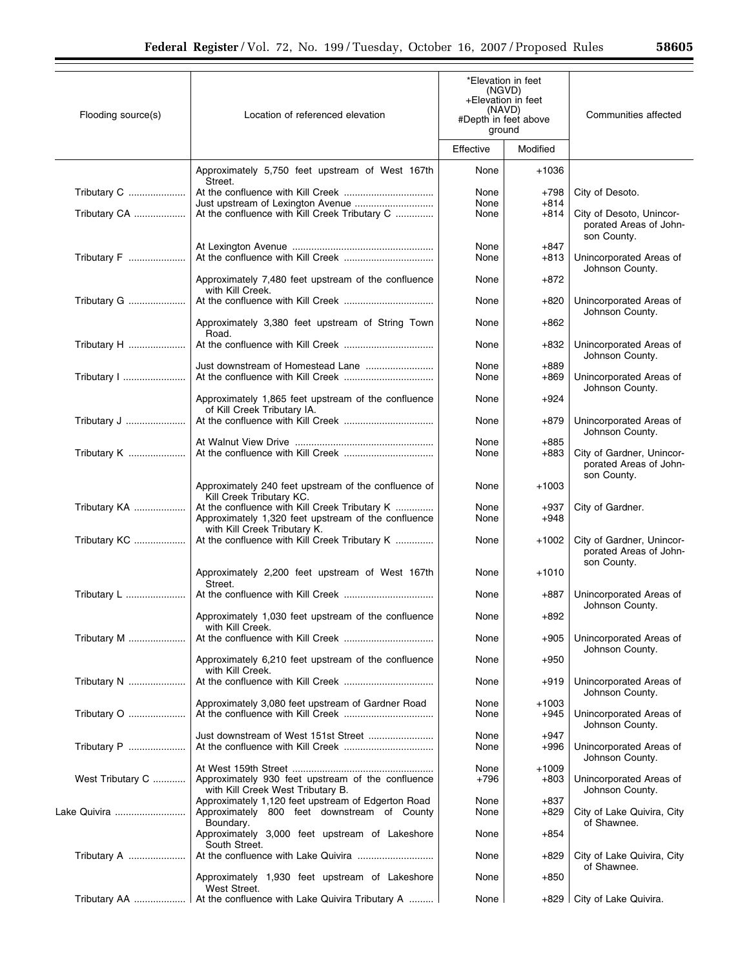| Flooding source(s) | Location of referenced elevation                                                                                                     | *Elevation in feet<br>(NGVD)<br>+Elevation in feet<br>(NAVD)<br>#Depth in feet above<br>ground |                   | Communities affected                                               |
|--------------------|--------------------------------------------------------------------------------------------------------------------------------------|------------------------------------------------------------------------------------------------|-------------------|--------------------------------------------------------------------|
|                    |                                                                                                                                      | Effective                                                                                      | Modified          |                                                                    |
|                    | Approximately 5,750 feet upstream of West 167th<br>Street.                                                                           | None                                                                                           | +1036             |                                                                    |
| Tributary C        |                                                                                                                                      | None<br>None                                                                                   | $+798$<br>$+814$  | City of Desoto.                                                    |
| Tributary CA       | At the confluence with Kill Creek Tributary C                                                                                        | None                                                                                           | +814              | City of Desoto, Unincor-<br>porated Areas of John-<br>son County.  |
| Tributary F        |                                                                                                                                      | None<br>None                                                                                   | $+847$<br>+813    | Unincorporated Areas of<br>Johnson County.                         |
|                    | Approximately 7,480 feet upstream of the confluence<br>with Kill Creek.                                                              | None                                                                                           | $+872$            |                                                                    |
| Tributary G        |                                                                                                                                      | None                                                                                           | +820              | Unincorporated Areas of<br>Johnson County.                         |
|                    | Approximately 3,380 feet upstream of String Town<br>Road.                                                                            | None                                                                                           | +862              |                                                                    |
| Tributary H        |                                                                                                                                      | None                                                                                           | +832              | Unincorporated Areas of<br>Johnson County.                         |
| Tributary I        |                                                                                                                                      | None<br>None                                                                                   | $+889$<br>+869    | Unincorporated Areas of<br>Johnson County.                         |
|                    | Approximately 1,865 feet upstream of the confluence<br>of Kill Creek Tributary IA.                                                   | None                                                                                           | +924              |                                                                    |
| Tributary J        |                                                                                                                                      | None                                                                                           | $+879$            | Unincorporated Areas of<br>Johnson County.                         |
| Tributary K        |                                                                                                                                      | None<br>None                                                                                   | $+885$<br>+883    | City of Gardner, Unincor-<br>porated Areas of John-                |
|                    | Approximately 240 feet upstream of the confluence of<br>Kill Creek Tributary KC.                                                     | None                                                                                           | $+1003$           | son County.                                                        |
| Tributary KA       | At the confluence with Kill Creek Tributary K<br>Approximately 1,320 feet upstream of the confluence<br>with Kill Creek Tributary K. | None<br>None                                                                                   | +937<br>$+948$    | City of Gardner.                                                   |
| Tributary KC       | At the confluence with Kill Creek Tributary K                                                                                        | None                                                                                           | +1002             | City of Gardner, Unincor-<br>porated Areas of John-<br>son County. |
|                    | Approximately 2,200 feet upstream of West 167th<br>Street.                                                                           | None                                                                                           | $+1010$           |                                                                    |
|                    |                                                                                                                                      | None                                                                                           | +887              | Unincorporated Areas of<br>Johnson County.                         |
|                    | Approximately 1,030 feet upstream of the confluence<br>with Kill Creek.                                                              | None                                                                                           | +892              |                                                                    |
| Tributary M        |                                                                                                                                      | None                                                                                           | +905              | Unincorporated Areas of<br>Johnson County.                         |
|                    | Approximately 6,210 feet upstream of the confluence<br>with Kill Creek.                                                              | None                                                                                           | +950              |                                                                    |
| Tributary N        |                                                                                                                                      | None                                                                                           | +919              | Unincorporated Areas of<br>Johnson County.                         |
| Tributary O        | Approximately 3,080 feet upstream of Gardner Road                                                                                    | None<br>None                                                                                   | $+1003$<br>$+945$ | Unincorporated Areas of<br>Johnson County.                         |
| Tributary P        | Just downstream of West 151st Street                                                                                                 | None<br>None                                                                                   | $+947$<br>$+996$  | Unincorporated Areas of<br>Johnson County.                         |
| West Tributary C   | Approximately 930 feet upstream of the confluence<br>with Kill Creek West Tributary B.                                               | None<br>$+796$                                                                                 | $+1009$<br>$+803$ | Unincorporated Areas of<br>Johnson County.                         |
| Lake Quivira       | Approximately 1,120 feet upstream of Edgerton Road<br>Approximately 800 feet downstream of County<br>Boundary.                       | None<br>None                                                                                   | $+837$<br>+829    | City of Lake Quivira, City<br>of Shawnee.                          |
|                    | Approximately 3,000 feet upstream of Lakeshore<br>South Street.                                                                      | None                                                                                           | +854              |                                                                    |
| Tributary A        |                                                                                                                                      | None                                                                                           | +829              | City of Lake Quivira, City<br>of Shawnee.                          |
|                    | Approximately 1,930 feet upstream of Lakeshore<br>West Street.                                                                       | None                                                                                           | $+850$            |                                                                    |
|                    |                                                                                                                                      | None                                                                                           | +829∣             | City of Lake Quivira.                                              |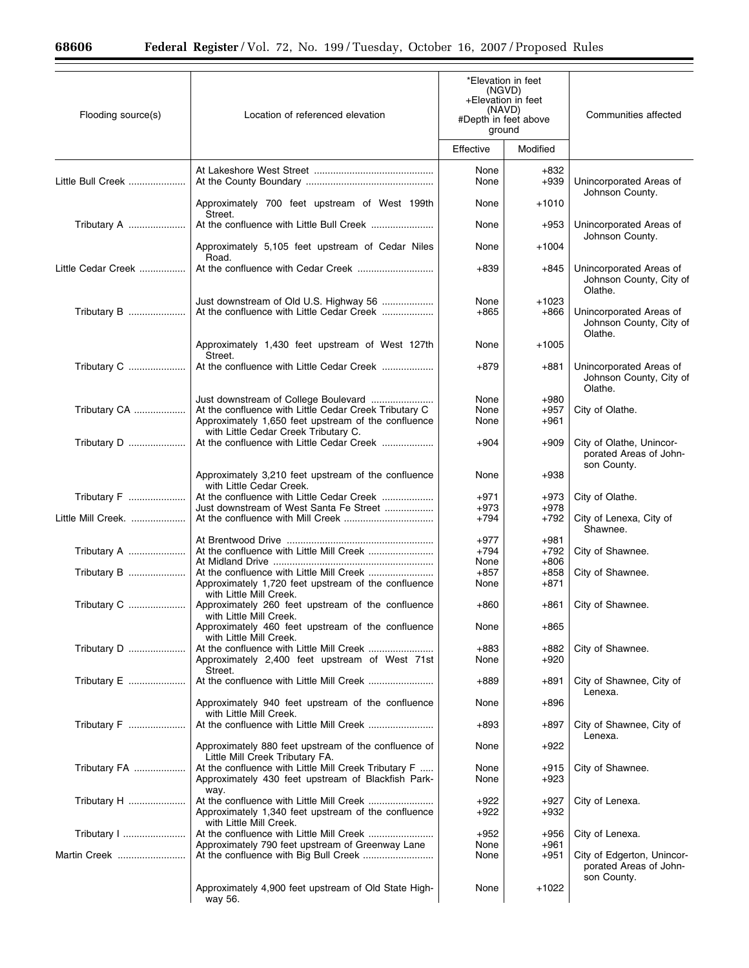$\equiv$ 

| Flooding source(s) | Location of referenced elevation                                                                                   | *Elevation in feet<br>(NGVD)<br>+Elevation in feet<br>(NAVD)<br>#Depth in feet above<br>ground |                   | Communities affected                                                |  |
|--------------------|--------------------------------------------------------------------------------------------------------------------|------------------------------------------------------------------------------------------------|-------------------|---------------------------------------------------------------------|--|
|                    |                                                                                                                    | Effective                                                                                      | Modified          |                                                                     |  |
| Little Bull Creek  |                                                                                                                    | None<br>None                                                                                   | $+832$<br>$+939$  | Unincorporated Areas of<br>Johnson County.                          |  |
|                    | Approximately 700 feet upstream of West 199th<br>Street.                                                           | None                                                                                           | $+1010$           |                                                                     |  |
| Tributary A        |                                                                                                                    | None                                                                                           | $+953$            | Unincorporated Areas of<br>Johnson County.                          |  |
|                    | Approximately 5,105 feet upstream of Cedar Niles<br>Road.                                                          | None                                                                                           | +1004             |                                                                     |  |
| Little Cedar Creek |                                                                                                                    | +839                                                                                           | +845              | Unincorporated Areas of<br>Johnson County, City of<br>Olathe.       |  |
| Tributary B        | Just downstream of Old U.S. Highway 56<br>At the confluence with Little Cedar Creek                                | None<br>$+865$                                                                                 | $+1023$<br>$+866$ | Unincorporated Areas of<br>Johnson County, City of<br>Olathe.       |  |
|                    | Approximately 1,430 feet upstream of West 127th<br>Street.                                                         | None                                                                                           | $+1005$           |                                                                     |  |
| Tributary C        |                                                                                                                    | $+879$                                                                                         | +881              | Unincorporated Areas of<br>Johnson County, City of<br>Olathe.       |  |
|                    | Just downstream of College Boulevard                                                                               | None                                                                                           | $+980$            |                                                                     |  |
| Tributary CA       | At the confluence with Little Cedar Creek Tributary C<br>Approximately 1,650 feet upstream of the confluence       | None<br>None                                                                                   | $+957$<br>+961    | City of Olathe.                                                     |  |
| Tributary D        | with Little Cedar Creek Tributary C.<br>At the confluence with Little Cedar Creek                                  | $+904$                                                                                         | $+909$            | City of Olathe, Unincor-<br>porated Areas of John-<br>son County.   |  |
|                    | Approximately 3,210 feet upstream of the confluence<br>with Little Cedar Creek.                                    | None                                                                                           | $+938$            |                                                                     |  |
| Tributary F        | At the confluence with Little Cedar Creek                                                                          | $+971$                                                                                         | $+973$            | City of Olathe.                                                     |  |
| Little Mill Creek. | Just downstream of West Santa Fe Street                                                                            | $+973$<br>$+794$                                                                               | $+978$<br>$+792$  | City of Lenexa, City of<br>Shawnee.                                 |  |
|                    |                                                                                                                    | +977                                                                                           | $+981$            |                                                                     |  |
| Tributary A        |                                                                                                                    | $+794$                                                                                         | +792              | City of Shawnee.                                                    |  |
| Tributary B        | At the confluence with Little Mill Creek                                                                           | None<br>$+857$                                                                                 | $+806$<br>$+858$  | City of Shawnee.                                                    |  |
|                    | Approximately 1,720 feet upstream of the confluence<br>with Little Mill Creek.                                     | None                                                                                           | +871              |                                                                     |  |
| Tributary C        | Approximately 260 feet upstream of the confluence<br>with Little Mill Creek.                                       | +860                                                                                           | +861              | City of Shawnee.                                                    |  |
|                    | Approximately 460 feet upstream of the confluence<br>with Little Mill Creek.                                       | None                                                                                           | $+865$            |                                                                     |  |
| Tributary D        | At the confluence with Little Mill Creek<br>Approximately 2,400 feet upstream of West 71st<br>Street.              | +883<br>None                                                                                   | +882<br>$+920$    | City of Shawnee.                                                    |  |
| Tributary E        |                                                                                                                    | +889                                                                                           | +891              | City of Shawnee, City of<br>Lenexa.                                 |  |
|                    | Approximately 940 feet upstream of the confluence<br>with Little Mill Creek.                                       | None                                                                                           | $+896$            |                                                                     |  |
| Tributary F        |                                                                                                                    | +893                                                                                           | +897              | City of Shawnee, City of<br>Lenexa.                                 |  |
|                    | Approximately 880 feet upstream of the confluence of<br>Little Mill Creek Tributary FA.                            | None                                                                                           | $+922$            |                                                                     |  |
| Tributary FA       | At the confluence with Little Mill Creek Tributary F<br>Approximately 430 feet upstream of Blackfish Park-<br>way. | None<br>None                                                                                   | $+915$<br>$+923$  | City of Shawnee.                                                    |  |
| Tributary H        | Approximately 1,340 feet upstream of the confluence<br>with Little Mill Creek.                                     | +922<br>+922                                                                                   | $+927$<br>$+932$  | City of Lenexa.                                                     |  |
| Tributary 1        |                                                                                                                    | +952                                                                                           | $+956$            | City of Lenexa.                                                     |  |
|                    | Approximately 790 feet upstream of Greenway Lane                                                                   | None                                                                                           | $+961$            |                                                                     |  |
| Martin Creek       |                                                                                                                    | None                                                                                           | $+951$            | City of Edgerton, Unincor-<br>porated Areas of John-<br>son County. |  |
|                    | Approximately 4,900 feet upstream of Old State High-<br>way 56.                                                    | None                                                                                           | +1022             |                                                                     |  |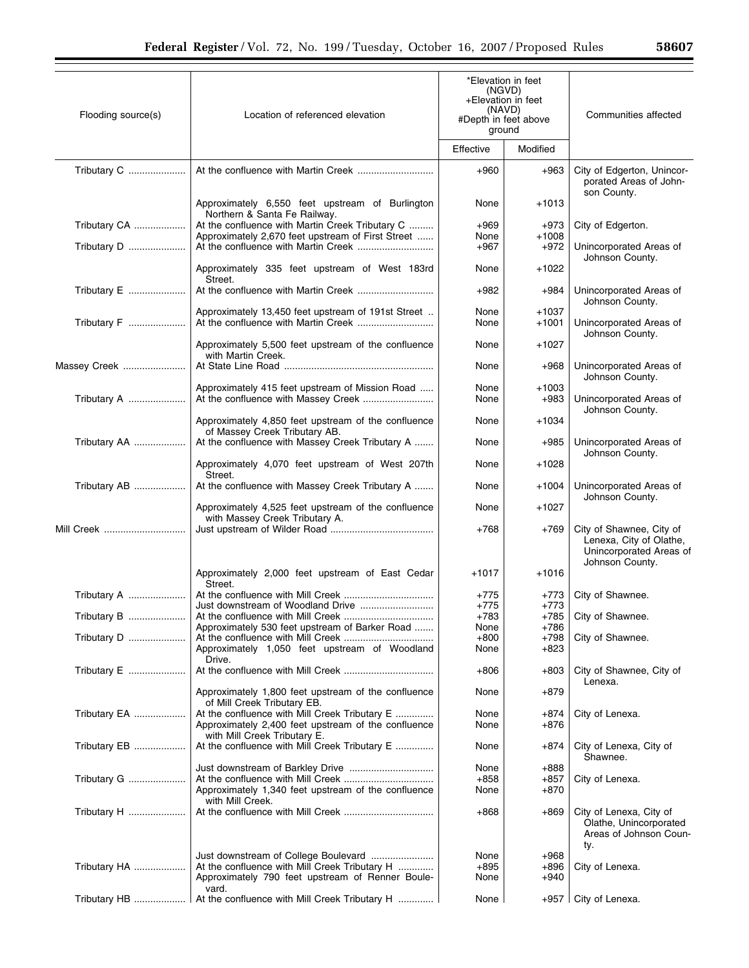| Flooding source(s) | Location of referenced elevation                                                                     |                                | *Elevation in feet<br>(NGVD)<br>+Elevation in feet<br>(NAVD) | Communities affected                                                               |
|--------------------|------------------------------------------------------------------------------------------------------|--------------------------------|--------------------------------------------------------------|------------------------------------------------------------------------------------|
|                    |                                                                                                      | #Depth in feet above<br>ground |                                                              |                                                                                    |
|                    |                                                                                                      | Effective                      | Modified                                                     |                                                                                    |
| Tributary C        |                                                                                                      | $+960$                         | $+963$                                                       | City of Edgerton, Unincor-<br>porated Areas of John-<br>son County.                |
|                    | Approximately 6,550 feet upstream of Burlington<br>Northern & Santa Fe Railway.                      | None                           | $+1013$                                                      |                                                                                    |
| Tributary CA       | At the confluence with Martin Creek Tributary C<br>Approximately 2,670 feet upstream of First Street | $+969$<br>None                 | $+973$<br>$+1008$                                            | City of Edgerton.                                                                  |
| Tributary D        |                                                                                                      | $+967$                         | $+972$                                                       | Unincorporated Areas of<br>Johnson County.                                         |
|                    | Approximately 335 feet upstream of West 183rd<br>Street.                                             | None                           | +1022                                                        |                                                                                    |
| Tributary E        |                                                                                                      | +982                           | $+984$                                                       | Unincorporated Areas of<br>Johnson County.                                         |
|                    | Approximately 13,450 feet upstream of 191st Street                                                   | None                           | $+1037$                                                      |                                                                                    |
| Tributary F        |                                                                                                      | None                           | $+1001$                                                      | Unincorporated Areas of<br>Johnson County.                                         |
|                    | Approximately 5,500 feet upstream of the confluence<br>with Martin Creek.                            | None                           | $+1027$                                                      |                                                                                    |
| Massey Creek       |                                                                                                      | None                           | $+968$                                                       | Unincorporated Areas of<br>Johnson County.                                         |
| Tributary A        | Approximately 415 feet upstream of Mission Road                                                      | None<br>None                   | +1003<br>$+983$                                              | Unincorporated Areas of                                                            |
|                    | Approximately 4,850 feet upstream of the confluence                                                  | None                           | +1034                                                        | Johnson County.                                                                    |
| Tributary AA       | of Massey Creek Tributary AB.<br>At the confluence with Massey Creek Tributary A                     | None                           | $+985$                                                       | Unincorporated Areas of                                                            |
|                    | Approximately 4,070 feet upstream of West 207th                                                      | None                           | +1028                                                        | Johnson County.                                                                    |
| Tributary AB       | Street.<br>At the confluence with Massey Creek Tributary A                                           | None                           | $+1004$                                                      | Unincorporated Areas of                                                            |
|                    | Approximately 4,525 feet upstream of the confluence                                                  | None                           | +1027                                                        | Johnson County.                                                                    |
| Mill Creek         | with Massey Creek Tributary A.                                                                       | +768                           | $+769$                                                       | City of Shawnee, City of<br>Lenexa, City of Olathe,<br>Unincorporated Areas of     |
|                    | Approximately 2,000 feet upstream of East Cedar<br>Street.                                           | +1017                          | $+1016$                                                      | Johnson County.                                                                    |
| Tributary A        |                                                                                                      | +775                           | +773                                                         | City of Shawnee.                                                                   |
|                    |                                                                                                      | $+775$<br>$+783$               | $+773$<br>$+785$                                             | City of Shawnee.                                                                   |
|                    | Approximately 530 feet upstream of Barker Road                                                       | None                           | +786                                                         |                                                                                    |
| Tributary D        |                                                                                                      | $+800$                         | $+798$                                                       | City of Shawnee.                                                                   |
|                    | Approximately 1,050 feet upstream of Woodland<br>Drive.                                              | None                           | $+823$                                                       |                                                                                    |
| Tributary E        |                                                                                                      | +806                           | $+803$                                                       | City of Shawnee, City of<br>Lenexa.                                                |
|                    | Approximately 1,800 feet upstream of the confluence<br>of Mill Creek Tributary EB.                   | None                           | $+879$                                                       |                                                                                    |
| Tributary EA       | At the confluence with Mill Creek Tributary E                                                        | None                           | +874                                                         | City of Lenexa.                                                                    |
|                    | Approximately 2,400 feet upstream of the confluence<br>with Mill Creek Tributary E.                  | None                           | +876                                                         |                                                                                    |
| Tributary EB       | At the confluence with Mill Creek Tributary E                                                        | None                           | $+874$                                                       | City of Lenexa, City of<br>Shawnee.                                                |
|                    |                                                                                                      | None                           | $+888$                                                       |                                                                                    |
| Tributary G        | Approximately 1,340 feet upstream of the confluence                                                  | $+858$<br>None                 | $+857$<br>$+870$                                             | City of Lenexa.                                                                    |
| Tributary H        | with Mill Creek.                                                                                     | +868                           | $+869$                                                       | City of Lenexa, City of<br>Olathe, Unincorporated<br>Areas of Johnson Coun-<br>ty. |
|                    |                                                                                                      | None                           | $+968$                                                       |                                                                                    |
| Tributary HA       | At the confluence with Mill Creek Tributary H<br>Approximately 790 feet upstream of Renner Boule-    | +895<br>None                   | +896<br>$+940$                                               | City of Lenexa.                                                                    |
|                    | vard.<br>Tributary HB    At the confluence with Mill Creek Tributary H                               | None                           | +957                                                         | City of Lenexa.                                                                    |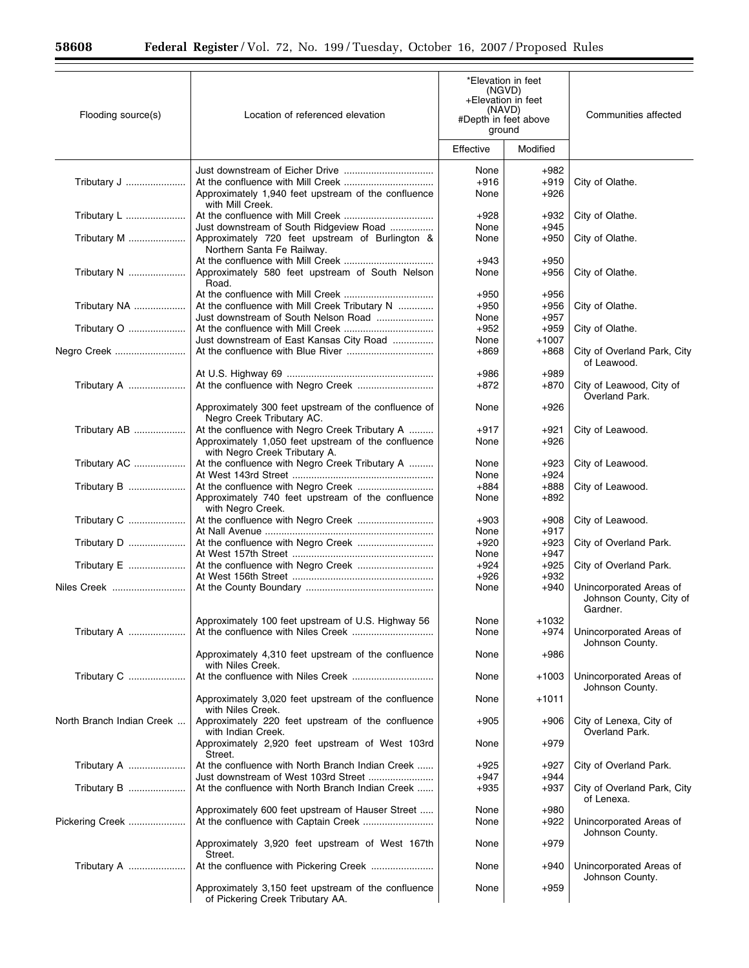▀

| Flooding source(s)        | Location of referenced elevation                                                                                                       | *Elevation in feet<br>(NGVD)<br>+Elevation in feet<br>(NAVD)<br>#Depth in feet above<br>ground |                            | Communities affected                                           |  |
|---------------------------|----------------------------------------------------------------------------------------------------------------------------------------|------------------------------------------------------------------------------------------------|----------------------------|----------------------------------------------------------------|--|
|                           |                                                                                                                                        | Effective                                                                                      | Modified                   |                                                                |  |
| Tributary J               | Approximately 1,940 feet upstream of the confluence<br>with Mill Creek.                                                                | None<br>$+916$<br>None                                                                         | $+982$<br>$+919$<br>$+926$ | City of Olathe.                                                |  |
| Tributary L               | Just downstream of South Ridgeview Road                                                                                                | $+928$<br>None                                                                                 | +932<br>$+945$             | City of Olathe.                                                |  |
| Tributary M               | Approximately 720 feet upstream of Burlington &<br>Northern Santa Fe Railway.                                                          | None                                                                                           | +950                       | City of Olathe.                                                |  |
| Tributary N               | Approximately 580 feet upstream of South Nelson<br>Road.                                                                               | $+943$<br>None                                                                                 | $+950$<br>$+956$           | City of Olathe.                                                |  |
| Tributary NA              | At the confluence with Mill Creek Tributary N                                                                                          | $+950$<br>$+950$                                                                               | $+956$<br>$+956$           | City of Olathe.                                                |  |
| Tributary O               | Just downstream of South Nelson Road                                                                                                   | None<br>$+952$                                                                                 | $+957$<br>$+959$           | City of Olathe.                                                |  |
| Negro Creek               | Just downstream of East Kansas City Road                                                                                               | None<br>$+869$                                                                                 | $+1007$<br>$+868$          | City of Overland Park, City<br>of Leawood.                     |  |
| Tributary A               |                                                                                                                                        | +986<br>+872                                                                                   | $+989$<br>+870             | City of Leawood, City of<br>Overland Park.                     |  |
|                           | Approximately 300 feet upstream of the confluence of<br>Negro Creek Tributary AC.                                                      | None                                                                                           | $+926$                     |                                                                |  |
| Tributary AB              | At the confluence with Negro Creek Tributary A<br>Approximately 1,050 feet upstream of the confluence<br>with Negro Creek Tributary A. | $+917$<br>None                                                                                 | +921<br>$+926$             | City of Leawood.                                               |  |
| Tributary AC              | At the confluence with Negro Creek Tributary A                                                                                         | None<br>None                                                                                   | +923<br>$+924$             | City of Leawood.                                               |  |
| Tributary B               | Approximately 740 feet upstream of the confluence                                                                                      | $+884$<br>None                                                                                 | $+888$<br>$+892$           | City of Leawood.                                               |  |
| Tributary C               | with Negro Creek.<br>At the confluence with Negro Creek                                                                                | $+903$<br>None                                                                                 | $+908$<br>$+917$           | City of Leawood.                                               |  |
| Tributary D               |                                                                                                                                        | $+920$<br>None                                                                                 | $+923$<br>$+947$           | City of Overland Park.                                         |  |
| Tributary E               |                                                                                                                                        | $+924$<br>$+926$                                                                               | $+925$<br>$+932$           | City of Overland Park.                                         |  |
| Niles Creek               |                                                                                                                                        | None                                                                                           | $+940$                     | Unincorporated Areas of<br>Johnson County, City of<br>Gardner. |  |
| Tributary A               | Approximately 100 feet upstream of U.S. Highway 56                                                                                     | None<br>None                                                                                   | $+1032$<br>$+974$          | Unincorporated Areas of                                        |  |
|                           | Approximately 4,310 feet upstream of the confluence<br>with Niles Creek.                                                               | None                                                                                           | $+986$                     | Johnson County.                                                |  |
| Tributary C               |                                                                                                                                        | None                                                                                           | +1003                      | Unincorporated Areas of<br>Johnson County.                     |  |
|                           | Approximately 3,020 feet upstream of the confluence<br>with Niles Creek.                                                               | None                                                                                           | +1011                      |                                                                |  |
| North Branch Indian Creek | Approximately 220 feet upstream of the confluence<br>with Indian Creek.                                                                | $+905$                                                                                         | $+906$                     | City of Lenexa, City of<br>Overland Park.                      |  |
|                           | Approximately 2,920 feet upstream of West 103rd<br>Street.                                                                             | None                                                                                           | $+979$                     |                                                                |  |
| Tributary A               | At the confluence with North Branch Indian Creek<br>Just downstream of West 103rd Street                                               | $+925$<br>$+947$                                                                               | +927<br>$+944$             | City of Overland Park.                                         |  |
| Tributary B               | At the confluence with North Branch Indian Creek                                                                                       | $+935$                                                                                         | +937                       | City of Overland Park, City<br>of Lenexa.                      |  |
| Pickering Creek           | Approximately 600 feet upstream of Hauser Street                                                                                       | None<br>None                                                                                   | $+980$<br>$+922$           | Unincorporated Areas of<br>Johnson County.                     |  |
|                           | Approximately 3,920 feet upstream of West 167th<br>Street.                                                                             | None                                                                                           | $+979$                     |                                                                |  |
| Tributary A               |                                                                                                                                        | None                                                                                           | $+940$                     | Unincorporated Areas of<br>Johnson County.                     |  |
|                           | Approximately 3,150 feet upstream of the confluence<br>of Pickering Creek Tributary AA.                                                | None                                                                                           | $+959$                     |                                                                |  |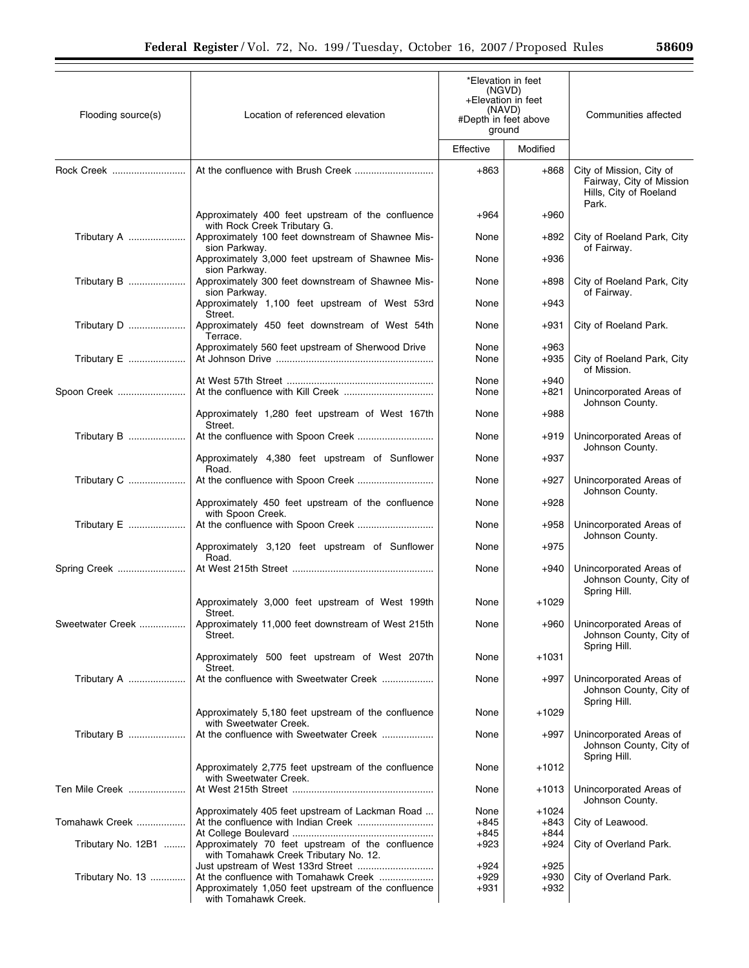| Flooding source(s) | Location of referenced elevation                                                                                     | *Elevation in feet<br>(NGVD)<br>+Elevation in feet<br>(NAVD) |                            | Communities affected                                                           |
|--------------------|----------------------------------------------------------------------------------------------------------------------|--------------------------------------------------------------|----------------------------|--------------------------------------------------------------------------------|
|                    |                                                                                                                      | #Depth in feet above<br>ground                               |                            |                                                                                |
|                    |                                                                                                                      | Effective                                                    | Modified                   |                                                                                |
| Rock Creek         |                                                                                                                      | $+863$                                                       | $+868$                     | City of Mission, City of<br>Fairway, City of Mission<br>Hills, City of Roeland |
|                    | Approximately 400 feet upstream of the confluence                                                                    | $+964$                                                       | $+960$                     | Park.                                                                          |
| Tributary A        | with Rock Creek Tributary G.<br>Approximately 100 feet downstream of Shawnee Mis-<br>sion Parkway.                   | None                                                         | +892                       | City of Roeland Park, City<br>of Fairway.                                      |
|                    | Approximately 3,000 feet upstream of Shawnee Mis-<br>sion Parkway.                                                   | None                                                         | $+936$                     |                                                                                |
| Tributary B        | Approximately 300 feet downstream of Shawnee Mis-<br>sion Parkway.                                                   | None                                                         | $+898$                     | City of Roeland Park, City<br>of Fairway.                                      |
|                    | Approximately 1,100 feet upstream of West 53rd<br>Street.                                                            | None                                                         | +943                       |                                                                                |
| Tributary D        | Approximately 450 feet downstream of West 54th<br>Terrace.                                                           | None                                                         | +931                       | City of Roeland Park.                                                          |
| Tributary E        | Approximately 560 feet upstream of Sherwood Drive                                                                    | None<br>None                                                 | $+963$<br>$+935$           | City of Roeland Park, City<br>of Mission.                                      |
| Spoon Creek        |                                                                                                                      | None<br>None                                                 | $+940$<br>$+821$           | Unincorporated Areas of                                                        |
|                    | Approximately 1,280 feet upstream of West 167th                                                                      | None                                                         | $+988$                     | Johnson County.                                                                |
| Tributary B        | Street.<br>At the confluence with Spoon Creek                                                                        | None                                                         | $+919$                     | Unincorporated Areas of<br>Johnson County.                                     |
|                    | Approximately 4,380 feet upstream of Sunflower<br>Road.                                                              | None                                                         | $+937$                     |                                                                                |
| Tributary C        |                                                                                                                      | None                                                         | $+927$                     | Unincorporated Areas of<br>Johnson County.                                     |
|                    | Approximately 450 feet upstream of the confluence<br>with Spoon Creek.                                               | None                                                         | $+928$                     |                                                                                |
| Tributary E        | At the confluence with Spoon Creek                                                                                   | None                                                         | $+958$                     | Unincorporated Areas of<br>Johnson County.                                     |
|                    | Approximately 3,120 feet upstream of Sunflower<br>Road.                                                              | None                                                         | $+975$                     |                                                                                |
| Spring Creek       |                                                                                                                      | None                                                         | +940                       | Unincorporated Areas of<br>Johnson County, City of<br>Spring Hill.             |
|                    | Approximately 3,000 feet upstream of West 199th<br>Street.                                                           | None                                                         | +1029                      |                                                                                |
| Sweetwater Creek   | Approximately 11,000 feet downstream of West 215th<br>Street.                                                        | None                                                         | +960                       | Unincorporated Areas of<br>Johnson County, City of<br>Spring Hill.             |
|                    | Approximately 500 feet upstream of West 207th<br>Street.                                                             | None                                                         | +1031                      |                                                                                |
| Tributary A        | At the confluence with Sweetwater Creek                                                                              | None                                                         | $+997$                     | Unincorporated Areas of<br>Johnson County, City of<br>Spring Hill.             |
|                    | Approximately 5,180 feet upstream of the confluence<br>with Sweetwater Creek.                                        | None                                                         | +1029                      |                                                                                |
| Tributary B        | At the confluence with Sweetwater Creek                                                                              | None                                                         | $+997$                     | Unincorporated Areas of<br>Johnson County, City of                             |
|                    | Approximately 2,775 feet upstream of the confluence<br>with Sweetwater Creek.                                        | None                                                         | $+1012$                    | Spring Hill.                                                                   |
| Ten Mile Creek     |                                                                                                                      | None                                                         | $+1013$                    | Unincorporated Areas of<br>Johnson County.                                     |
| Tomahawk Creek     | Approximately 405 feet upstream of Lackman Road                                                                      | None<br>$+845$<br>$+845$                                     | +1024<br>$+843$<br>$+844$  | City of Leawood.                                                               |
| Tributary No. 12B1 | Approximately 70 feet upstream of the confluence<br>with Tomahawk Creek Tributary No. 12.                            | +923                                                         | $+924$                     | City of Overland Park.                                                         |
| Tributary No. 13   | At the confluence with Tomahawk Creek<br>Approximately 1,050 feet upstream of the confluence<br>with Tomahawk Creek. | +924<br>$+929$<br>+931                                       | $+925$<br>$+930$<br>$+932$ | City of Overland Park.                                                         |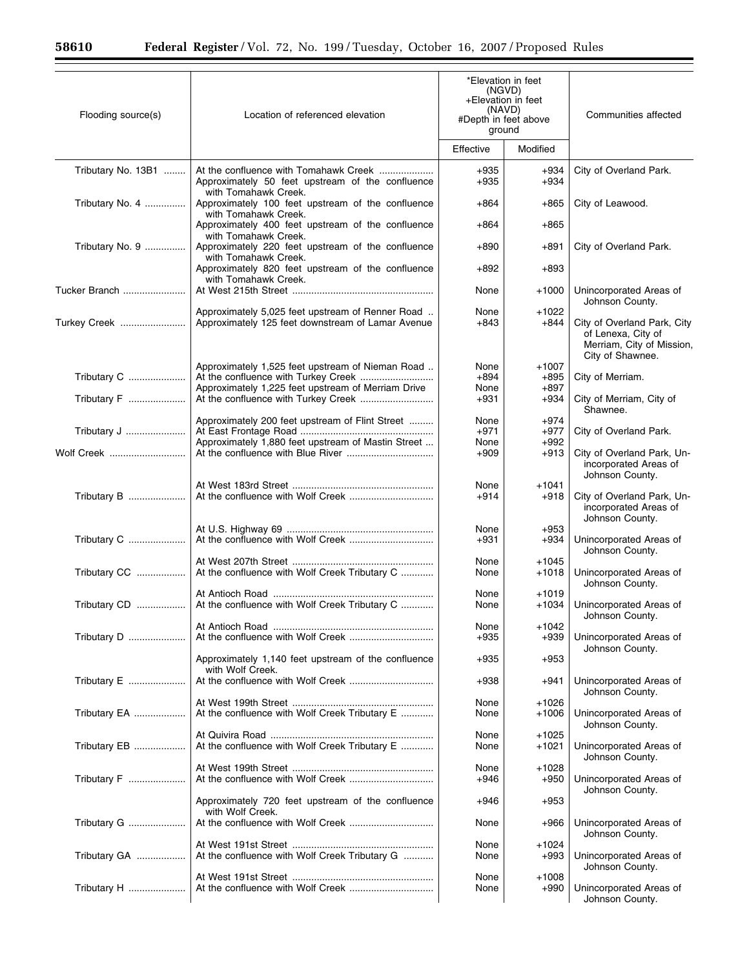| Flooding source(s) | Location of referenced elevation                                                                                               | *Elevation in feet<br>(NGVD)<br>+Elevation in feet<br>(NAVD)<br>#Depth in feet above<br>ground |                    | Communities affected                                                                               |  |
|--------------------|--------------------------------------------------------------------------------------------------------------------------------|------------------------------------------------------------------------------------------------|--------------------|----------------------------------------------------------------------------------------------------|--|
|                    |                                                                                                                                | Effective                                                                                      | Modified           |                                                                                                    |  |
| Tributary No. 13B1 | Approximately 50 feet upstream of the confluence<br>with Tomahawk Creek.                                                       | +935<br>+935                                                                                   | +934<br>$+934$     | City of Overland Park.                                                                             |  |
| Tributary No. 4    | Approximately 100 feet upstream of the confluence<br>with Tomahawk Creek.                                                      | +864                                                                                           | $+865$             | City of Leawood.                                                                                   |  |
|                    | Approximately 400 feet upstream of the confluence<br>with Tomahawk Creek.                                                      | +864                                                                                           | $+865$             |                                                                                                    |  |
| Tributary No. 9    | Approximately 220 feet upstream of the confluence<br>with Tomahawk Creek.<br>Approximately 820 feet upstream of the confluence | $+890$<br>$+892$                                                                               | $+891$<br>$+893$   | City of Overland Park.                                                                             |  |
| Tucker Branch      | with Tomahawk Creek.                                                                                                           | None                                                                                           | $+1000$            | Unincorporated Areas of                                                                            |  |
|                    | Approximately 5,025 feet upstream of Renner Road                                                                               | None                                                                                           | $+1022$            | Johnson County.                                                                                    |  |
| Turkey Creek       | Approximately 125 feet downstream of Lamar Avenue                                                                              | +843                                                                                           | $+844$             | City of Overland Park, City<br>of Lenexa, City of<br>Merriam, City of Mission,<br>City of Shawnee. |  |
| Tributary C        | Approximately 1,525 feet upstream of Nieman Road                                                                               | None<br>$+894$                                                                                 | $+1007$<br>+895    | City of Merriam.                                                                                   |  |
|                    | Approximately 1,225 feet upstream of Merriam Drive                                                                             | None                                                                                           | $+897$             |                                                                                                    |  |
| Tributary F        | At the confluence with Turkey Creek                                                                                            | +931                                                                                           | $+934$             | City of Merriam, City of<br>Shawnee.                                                               |  |
| Tributary J        | Approximately 200 feet upstream of Flint Street                                                                                | None<br>$+971$                                                                                 | $+974$<br>$+977$   | City of Overland Park.                                                                             |  |
|                    | Approximately 1,880 feet upstream of Mastin Street                                                                             | None                                                                                           | $+992$             |                                                                                                    |  |
| Wolf Creek         |                                                                                                                                | $+909$                                                                                         | $+913$             | City of Overland Park, Un-<br>incorporated Areas of<br>Johnson County.                             |  |
|                    |                                                                                                                                | None                                                                                           | $+1041$            |                                                                                                    |  |
| Tributary B        |                                                                                                                                | $+914$                                                                                         | $+918$             | City of Overland Park, Un-<br>incorporated Areas of<br>Johnson County.                             |  |
| Tributary C        |                                                                                                                                | None<br>$+931$                                                                                 | $+953$<br>+934     | Unincorporated Areas of<br>Johnson County.                                                         |  |
|                    |                                                                                                                                | None                                                                                           | $+1045$            |                                                                                                    |  |
| Tributary CC       | At the confluence with Wolf Creek Tributary C                                                                                  | None                                                                                           | $+1018$            | Unincorporated Areas of<br>Johnson County.                                                         |  |
| Tributary CD       | At the confluence with Wolf Creek Tributary C                                                                                  | None<br>None                                                                                   | $+1019$<br>$+1034$ | Unincorporated Areas of<br>Johnson County.                                                         |  |
|                    |                                                                                                                                | None                                                                                           | +1042              |                                                                                                    |  |
| Tributary D        | Approximately 1,140 feet upstream of the confluence                                                                            | $+935$<br>+935                                                                                 | $+939$<br>$+953$   | Unincorporated Areas of<br>Johnson County.                                                         |  |
| Tributary E        | with Wolf Creek.                                                                                                               | $+938$                                                                                         | $+941$             | Unincorporated Areas of                                                                            |  |
|                    |                                                                                                                                | None                                                                                           | $+1026$            | Johnson County.                                                                                    |  |
| Tributary EA       | At the confluence with Wolf Creek Tributary E                                                                                  | None                                                                                           | $+1006$            | Unincorporated Areas of<br>Johnson County.                                                         |  |
| Tributary EB       | At the confluence with Wolf Creek Tributary E                                                                                  | None<br>None                                                                                   | $+1025$<br>$+1021$ | Unincorporated Areas of<br>Johnson County.                                                         |  |
|                    |                                                                                                                                | None                                                                                           | +1028              |                                                                                                    |  |
| Tributary F        |                                                                                                                                | +946                                                                                           | $+950$             | Unincorporated Areas of<br>Johnson County.                                                         |  |
|                    | Approximately 720 feet upstream of the confluence<br>with Wolf Creek.                                                          | +946                                                                                           | $+953$             |                                                                                                    |  |
| Tributary G        |                                                                                                                                | None                                                                                           | +966               | Unincorporated Areas of<br>Johnson County.                                                         |  |
| Tributary GA       | At the confluence with Wolf Creek Tributary G                                                                                  | None<br>None                                                                                   | +1024<br>$+993$    | Unincorporated Areas of<br>Johnson County.                                                         |  |
| Tributary H        |                                                                                                                                | None<br>None                                                                                   | $+1008$<br>$+990$  | Unincorporated Areas of<br>Johnson County.                                                         |  |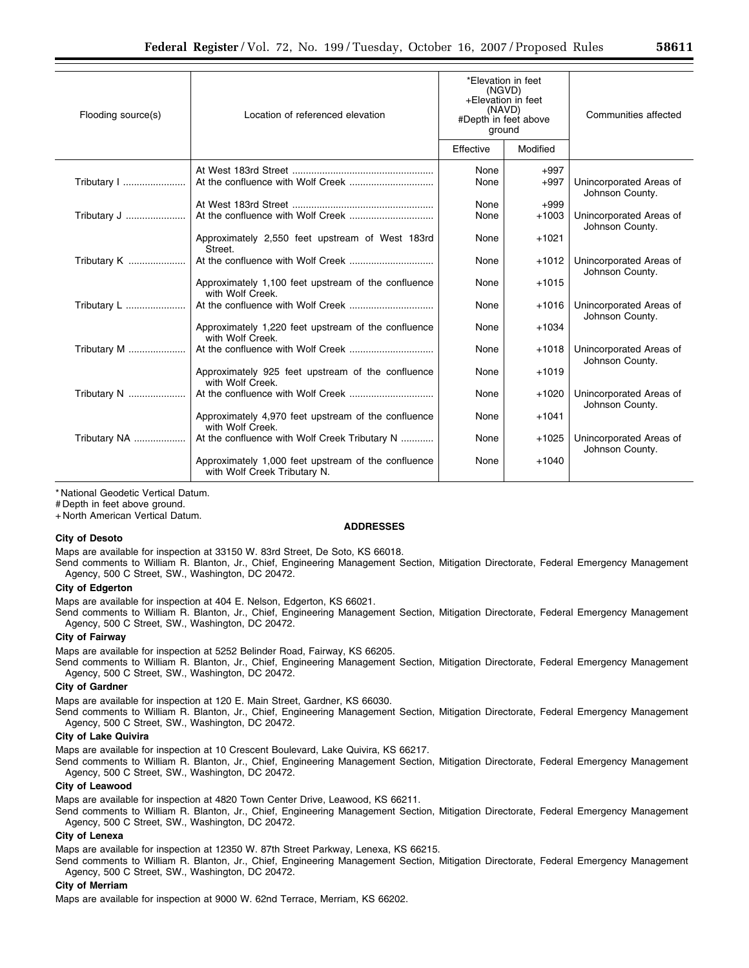| Flooding source(s) | Location of referenced elevation                                                    | *Elevation in feet<br>(NGVD)<br>+Elevation in feet<br>(NAVD)<br>#Depth in feet above<br>ground |                  | Communities affected                       |
|--------------------|-------------------------------------------------------------------------------------|------------------------------------------------------------------------------------------------|------------------|--------------------------------------------|
|                    |                                                                                     | Effective                                                                                      | Modified         |                                            |
| Tributary          |                                                                                     | None<br>None                                                                                   | $+997$<br>$+997$ | Unincorporated Areas of<br>Johnson County. |
|                    |                                                                                     | None                                                                                           | $+999$           |                                            |
| Tributary J        |                                                                                     | None                                                                                           | $+1003$          | Unincorporated Areas of<br>Johnson County. |
|                    | Approximately 2,550 feet upstream of West 183rd<br>Street.                          | None                                                                                           | $+1021$          |                                            |
| Tributary K        |                                                                                     | None                                                                                           | $+1012$          | Unincorporated Areas of<br>Johnson County. |
|                    | Approximately 1,100 feet upstream of the confluence<br>with Wolf Creek.             | None                                                                                           | $+1015$          |                                            |
| Tributary L        |                                                                                     | None                                                                                           | $+1016$          | Unincorporated Areas of<br>Johnson County. |
|                    | Approximately 1,220 feet upstream of the confluence<br>with Wolf Creek.             | None                                                                                           | $+1034$          |                                            |
| Tributary M        |                                                                                     | None                                                                                           | $+1018$          | Unincorporated Areas of<br>Johnson County. |
|                    | Approximately 925 feet upstream of the confluence<br>with Wolf Creek.               | None                                                                                           | $+1019$          |                                            |
| Tributary N        |                                                                                     | None                                                                                           | $+1020$          | Unincorporated Areas of<br>Johnson County. |
|                    | Approximately 4,970 feet upstream of the confluence<br>with Wolf Creek.             | None                                                                                           | $+1041$          |                                            |
| Tributary NA       | At the confluence with Wolf Creek Tributary N                                       | None                                                                                           | $+1025$          | Unincorporated Areas of<br>Johnson County. |
|                    | Approximately 1,000 feet upstream of the confluence<br>with Wolf Creek Tributary N. | None                                                                                           | $+1040$          |                                            |
|                    |                                                                                     |                                                                                                |                  |                                            |

\* National Geodetic Vertical Datum.

# Depth in feet above ground.

+ North American Vertical Datum.

### **ADDRESSES**

### **City of Desoto**

Maps are available for inspection at 33150 W. 83rd Street, De Soto, KS 66018.

Send comments to William R. Blanton, Jr., Chief, Engineering Management Section, Mitigation Directorate, Federal Emergency Management Agency, 500 C Street, SW., Washington, DC 20472.

### **City of Edgerton**

Maps are available for inspection at 404 E. Nelson, Edgerton, KS 66021.

Send comments to William R. Blanton, Jr., Chief, Engineering Management Section, Mitigation Directorate, Federal Emergency Management Agency, 500 C Street, SW., Washington, DC 20472.

#### **City of Fairway**

Maps are available for inspection at 5252 Belinder Road, Fairway, KS 66205.

Send comments to William R. Blanton, Jr., Chief, Engineering Management Section, Mitigation Directorate, Federal Emergency Management Agency, 500 C Street, SW., Washington, DC 20472.

### **City of Gardner**

Maps are available for inspection at 120 E. Main Street, Gardner, KS 66030.

Send comments to William R. Blanton, Jr., Chief, Engineering Management Section, Mitigation Directorate, Federal Emergency Management Agency, 500 C Street, SW., Washington, DC 20472.

#### **City of Lake Quivira**

Maps are available for inspection at 10 Crescent Boulevard, Lake Quivira, KS 66217.

Send comments to William R. Blanton, Jr., Chief, Engineering Management Section, Mitigation Directorate, Federal Emergency Management Agency, 500 C Street, SW., Washington, DC 20472.

### **City of Leawood**

Maps are available for inspection at 4820 Town Center Drive, Leawood, KS 66211.

Send comments to William R. Blanton, Jr., Chief, Engineering Management Section, Mitigation Directorate, Federal Emergency Management Agency, 500 C Street, SW., Washington, DC 20472.

### **City of Lenexa**

Maps are available for inspection at 12350 W. 87th Street Parkway, Lenexa, KS 66215.

Send comments to William R. Blanton, Jr., Chief, Engineering Management Section, Mitigation Directorate, Federal Emergency Management Agency, 500 C Street, SW., Washington, DC 20472.

### **City of Merriam**

Maps are available for inspection at 9000 W. 62nd Terrace, Merriam, KS 66202.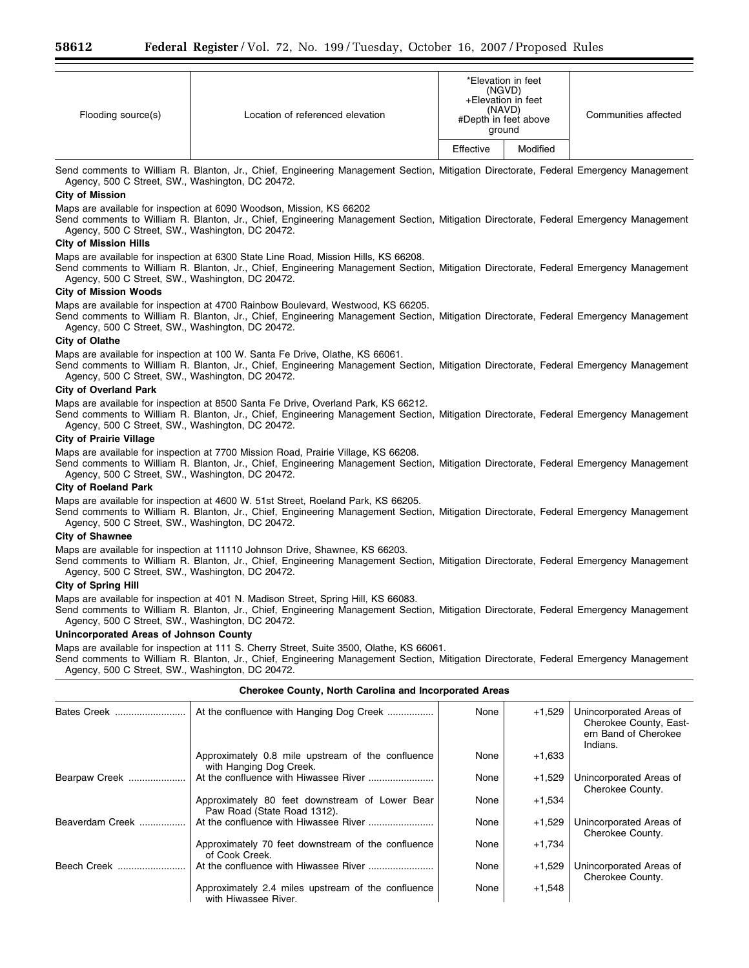| Flooding source(s) | Location of referenced elevation |           | *Elevation in feet<br>(NGVD)<br>+Elevation in feet<br>(NAVD)<br>#Depth in feet above<br>ground | Communities affected |
|--------------------|----------------------------------|-----------|------------------------------------------------------------------------------------------------|----------------------|
|                    |                                  | Effective | Modified                                                                                       |                      |

Send comments to William R. Blanton, Jr., Chief, Engineering Management Section, Mitigation Directorate, Federal Emergency Management Agency, 500 C Street, SW., Washington, DC 20472.

# **City of Mission**

Maps are available for inspection at 6090 Woodson, Mission, KS 66202

Send comments to William R. Blanton, Jr., Chief, Engineering Management Section, Mitigation Directorate, Federal Emergency Management Agency, 500 C Street, SW., Washington, DC 20472.

### **City of Mission Hills**

Maps are available for inspection at 6300 State Line Road, Mission Hills, KS 66208.

Send comments to William R. Blanton, Jr., Chief, Engineering Management Section, Mitigation Directorate, Federal Emergency Management Agency, 500 C Street, SW., Washington, DC 20472.

### **City of Mission Woods**

Maps are available for inspection at 4700 Rainbow Boulevard, Westwood, KS 66205.

Send comments to William R. Blanton, Jr., Chief, Engineering Management Section, Mitigation Directorate, Federal Emergency Management Agency, 500 C Street, SW., Washington, DC 20472.

#### **City of Olathe**

Maps are available for inspection at 100 W. Santa Fe Drive, Olathe, KS 66061.

Send comments to William R. Blanton, Jr., Chief, Engineering Management Section, Mitigation Directorate, Federal Emergency Management Agency, 500 C Street, SW., Washington, DC 20472.

#### **City of Overland Park**

Maps are available for inspection at 8500 Santa Fe Drive, Overland Park, KS 66212.

Send comments to William R. Blanton, Jr., Chief, Engineering Management Section, Mitigation Directorate, Federal Emergency Management Agency, 500 C Street, SW., Washington, DC 20472.

### **City of Prairie Village**

Maps are available for inspection at 7700 Mission Road, Prairie Village, KS 66208.

Send comments to William R. Blanton, Jr., Chief, Engineering Management Section, Mitigation Directorate, Federal Emergency Management Agency, 500 C Street, SW., Washington, DC 20472.

### **City of Roeland Park**

Maps are available for inspection at 4600 W. 51st Street, Roeland Park, KS 66205.

Send comments to William R. Blanton, Jr., Chief, Engineering Management Section, Mitigation Directorate, Federal Emergency Management Agency, 500 C Street, SW., Washington, DC 20472.

### **City of Shawnee**

Maps are available for inspection at 11110 Johnson Drive, Shawnee, KS 66203.

Send comments to William R. Blanton, Jr., Chief, Engineering Management Section, Mitigation Directorate, Federal Emergency Management Agency, 500 C Street, SW., Washington, DC 20472.

### **City of Spring Hill**

Maps are available for inspection at 401 N. Madison Street, Spring Hill, KS 66083.

Send comments to William R. Blanton, Jr., Chief, Engineering Management Section, Mitigation Directorate, Federal Emergency Management Agency, 500 C Street, SW., Washington, DC 20472.

### **Unincorporated Areas of Johnson County**

Maps are available for inspection at 111 S. Cherry Street, Suite 3500, Olathe, KS 66061.

Send comments to William R. Blanton, Jr., Chief, Engineering Management Section, Mitigation Directorate, Federal Emergency Management Agency, 500 C Street, SW., Washington, DC 20472.

## **Cherokee County, North Carolina and Incorporated Areas**

| Bates Creek     | At the confluence with Hanging Dog Creek                                      | None | $+1,529$ | Unincorporated Areas of<br>Cherokee County, East-<br>ern Band of Cherokee<br>Indians. |
|-----------------|-------------------------------------------------------------------------------|------|----------|---------------------------------------------------------------------------------------|
|                 | Approximately 0.8 mile upstream of the confluence<br>with Hanging Dog Creek.  | None | $+1,633$ |                                                                                       |
| Bearpaw Creek   |                                                                               | None | $+1,529$ | Unincorporated Areas of<br>Cherokee County.                                           |
|                 | Approximately 80 feet downstream of Lower Bear<br>Paw Road (State Road 1312). | None | $+1,534$ |                                                                                       |
| Beaverdam Creek |                                                                               | None | $+1,529$ | Unincorporated Areas of<br>Cherokee County.                                           |
|                 | Approximately 70 feet downstream of the confluence<br>of Cook Creek.          | None | $+1,734$ |                                                                                       |
| Beech Creek     |                                                                               | None | $+1,529$ | Unincorporated Areas of<br>Cherokee County.                                           |
|                 | Approximately 2.4 miles upstream of the confluence<br>with Hiwassee River.    | None | $+1,548$ |                                                                                       |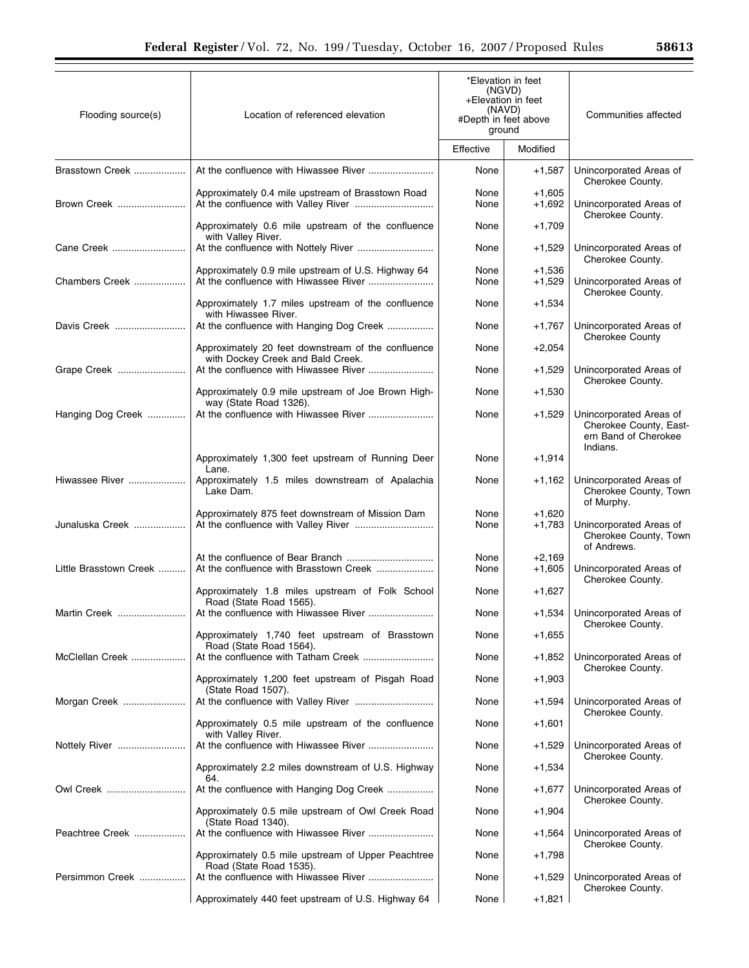| Flooding source(s)     | Location of referenced elevation                                                            | *Elevation in feet<br>(NGVD)<br>+Elevation in feet<br>(NAVD)<br>#Depth in feet above<br>ground |                      | Communities affected                                                                  |
|------------------------|---------------------------------------------------------------------------------------------|------------------------------------------------------------------------------------------------|----------------------|---------------------------------------------------------------------------------------|
|                        |                                                                                             | Effective                                                                                      | Modified             |                                                                                       |
| Brasstown Creek        |                                                                                             | None                                                                                           | $+1,587$             | Unincorporated Areas of<br>Cherokee County.                                           |
| Brown Creek            | Approximately 0.4 mile upstream of Brasstown Road                                           | None<br>None                                                                                   | $+1,605$<br>$+1,692$ | Unincorporated Areas of<br>Cherokee County.                                           |
|                        | Approximately 0.6 mile upstream of the confluence<br>with Valley River.                     | None                                                                                           | $+1,709$             |                                                                                       |
| Cane Creek             |                                                                                             | None                                                                                           | $+1,529$             | Unincorporated Areas of<br>Cherokee County.                                           |
| Chambers Creek         | Approximately 0.9 mile upstream of U.S. Highway 64<br>At the confluence with Hiwassee River | None<br>None                                                                                   | $+1,536$<br>$+1,529$ | Unincorporated Areas of<br>Cherokee County.                                           |
|                        | Approximately 1.7 miles upstream of the confluence<br>with Hiwassee River.                  | None                                                                                           | $+1,534$             |                                                                                       |
| Davis Creek            | At the confluence with Hanging Dog Creek                                                    | None                                                                                           | $+1,767$             | Unincorporated Areas of<br><b>Cherokee County</b>                                     |
|                        | Approximately 20 feet downstream of the confluence<br>with Dockey Creek and Bald Creek.     | None                                                                                           | $+2,054$             |                                                                                       |
| Grape Creek            |                                                                                             | None                                                                                           | $+1,529$             | Unincorporated Areas of<br>Cherokee County.                                           |
|                        | Approximately 0.9 mile upstream of Joe Brown High-<br>way (State Road 1326).                | None                                                                                           | $+1,530$             |                                                                                       |
| Hanging Dog Creek      |                                                                                             | None                                                                                           | $+1,529$             | Unincorporated Areas of<br>Cherokee County, East-<br>ern Band of Cherokee<br>Indians. |
|                        | Approximately 1,300 feet upstream of Running Deer<br>Lane.                                  | None                                                                                           | $+1,914$             |                                                                                       |
| Hiwassee River         | Approximately 1.5 miles downstream of Apalachia<br>Lake Dam.                                | None                                                                                           | $+1,162$             | Unincorporated Areas of<br>Cherokee County, Town<br>of Murphy.                        |
| Junaluska Creek        | Approximately 875 feet downstream of Mission Dam                                            | None<br>None                                                                                   | $+1,620$<br>$+1,783$ | Unincorporated Areas of<br>Cherokee County, Town<br>of Andrews.                       |
| Little Brasstown Creek | At the confluence with Brasstown Creek                                                      | None<br>None                                                                                   | $+2.169$<br>$+1,605$ | Unincorporated Areas of                                                               |
|                        | Approximately 1.8 miles upstream of Folk School<br>Road (State Road 1565).                  | None                                                                                           | $+1,627$             | Cherokee County.                                                                      |
| Martin Creek           | At the confluence with Hiwassee River                                                       | None                                                                                           | $+1,534$             | Unincorporated Areas of<br>Cherokee County.                                           |
|                        | Approximately 1,740 feet upstream of Brasstown<br>Road (State Road 1564).                   | None                                                                                           | $+1,655$             |                                                                                       |
| McClellan Creek        |                                                                                             | None                                                                                           | +1,852               | Unincorporated Areas of<br>Cherokee County.                                           |
|                        | Approximately 1,200 feet upstream of Pisgah Road<br>(State Road 1507).                      | None                                                                                           | $+1,903$             |                                                                                       |
| Morgan Creek           |                                                                                             | None                                                                                           | +1,594               | Unincorporated Areas of<br>Cherokee County.                                           |
|                        | Approximately 0.5 mile upstream of the confluence<br>with Valley River.                     | None                                                                                           | $+1,601$             |                                                                                       |
| Nottely River          | Approximately 2.2 miles downstream of U.S. Highway                                          | None<br>None                                                                                   | +1,529<br>$+1,534$   | Unincorporated Areas of<br>Cherokee County.                                           |
| Owl Creek              | 64.<br>At the confluence with Hanging Dog Creek                                             | None                                                                                           | $+1,677$             | Unincorporated Areas of                                                               |
|                        | Approximately 0.5 mile upstream of Owl Creek Road                                           | None                                                                                           | $+1,904$             | Cherokee County.                                                                      |
| Peachtree Creek        | (State Road 1340).                                                                          | None                                                                                           | +1,564               | Unincorporated Areas of                                                               |
|                        | Approximately 0.5 mile upstream of Upper Peachtree<br>Road (State Road 1535).               | None                                                                                           | $+1,798$             | Cherokee County.                                                                      |
| Persimmon Creek        |                                                                                             | None                                                                                           | $+1,529$             | Unincorporated Areas of<br>Cherokee County.                                           |
|                        | Approximately 440 feet upstream of U.S. Highway 64                                          | None                                                                                           | $+1,821$             |                                                                                       |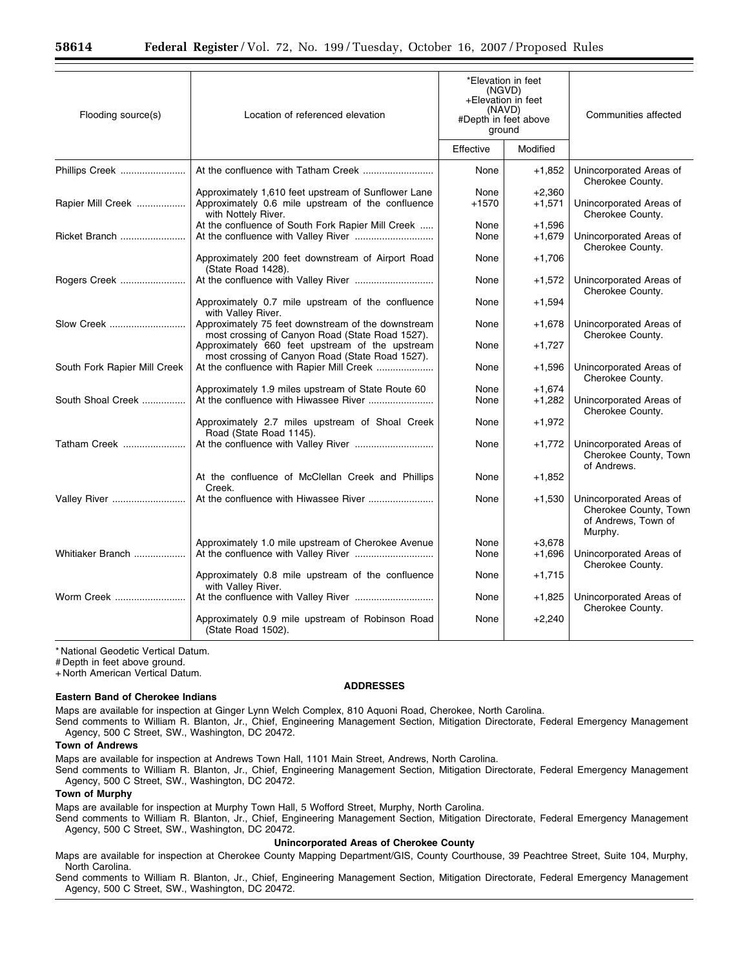| Flooding source(s)           | Location of referenced elevation                                                                                                | *Elevation in feet<br>(NGVD)<br>+Elevation in feet<br>(NAVD)<br>#Depth in feet above<br>ground |                      | Communities affected                                                               |
|------------------------------|---------------------------------------------------------------------------------------------------------------------------------|------------------------------------------------------------------------------------------------|----------------------|------------------------------------------------------------------------------------|
|                              |                                                                                                                                 | Effective                                                                                      | Modified             |                                                                                    |
| Phillips Creek               |                                                                                                                                 | None                                                                                           | $+1,852$             | Unincorporated Areas of<br>Cherokee County.                                        |
| Rapier Mill Creek            | Approximately 1,610 feet upstream of Sunflower Lane<br>Approximately 0.6 mile upstream of the confluence<br>with Nottely River. | None<br>$+1570$                                                                                | $+2,360$<br>$+1,571$ | Unincorporated Areas of<br>Cherokee County.                                        |
| Ricket Branch                | At the confluence of South Fork Rapier Mill Creek                                                                               | None<br>None                                                                                   | $+1,596$<br>$+1,679$ | Unincorporated Areas of<br>Cherokee County.                                        |
|                              | Approximately 200 feet downstream of Airport Road<br>(State Road 1428).                                                         | None                                                                                           | $+1,706$             |                                                                                    |
| Rogers Creek                 |                                                                                                                                 | None                                                                                           | $+1,572$             | Unincorporated Areas of<br>Cherokee County.                                        |
|                              | Approximately 0.7 mile upstream of the confluence<br>with Valley River.                                                         | None                                                                                           | $+1,594$             |                                                                                    |
| Slow Creek                   | Approximately 75 feet downstream of the downstream<br>most crossing of Canyon Road (State Road 1527).                           | None                                                                                           | $+1,678$             | Unincorporated Areas of<br>Cherokee County.                                        |
|                              | Approximately 660 feet upstream of the upstream<br>most crossing of Canyon Road (State Road 1527).                              | None                                                                                           | $+1,727$             |                                                                                    |
| South Fork Rapier Mill Creek | At the confluence with Rapier Mill Creek                                                                                        | None                                                                                           | $+1,596$             | Unincorporated Areas of<br>Cherokee County.                                        |
|                              | Approximately 1.9 miles upstream of State Route 60                                                                              | None                                                                                           | $+1,674$             |                                                                                    |
| South Shoal Creek            |                                                                                                                                 | None                                                                                           | $+1,282$             | Unincorporated Areas of<br>Cherokee County.                                        |
|                              | Approximately 2.7 miles upstream of Shoal Creek<br>Road (State Road 1145).                                                      | None                                                                                           | $+1,972$             |                                                                                    |
| Tatham Creek                 |                                                                                                                                 | None                                                                                           | $+1,772$             | Unincorporated Areas of<br>Cherokee County, Town<br>of Andrews.                    |
|                              | At the confluence of McClellan Creek and Phillips<br>Creek.                                                                     | None                                                                                           | $+1,852$             |                                                                                    |
| <b>Valley River </b>         |                                                                                                                                 | None                                                                                           | $+1,530$             | Unincorporated Areas of<br>Cherokee County, Town<br>of Andrews, Town of<br>Murphy. |
|                              | Approximately 1.0 mile upstream of Cherokee Avenue                                                                              | None                                                                                           | $+3,678$             |                                                                                    |
| Whitiaker Branch             |                                                                                                                                 | None                                                                                           | $+1,696$             | Unincorporated Areas of<br>Cherokee County.                                        |
|                              | Approximately 0.8 mile upstream of the confluence<br>with Valley River.                                                         | None                                                                                           | $+1,715$             |                                                                                    |
| Worm Creek                   |                                                                                                                                 | None                                                                                           | $+1,825$             | Unincorporated Areas of<br>Cherokee County.                                        |
|                              | Approximately 0.9 mile upstream of Robinson Road<br>(State Road 1502).                                                          | None                                                                                           | $+2,240$             |                                                                                    |

\* National Geodetic Vertical Datum.

# Depth in feet above ground.

+ North American Vertical Datum.

#### **Eastern Band of Cherokee Indians**

# **ADDRESSES**

Maps are available for inspection at Ginger Lynn Welch Complex, 810 Aquoni Road, Cherokee, North Carolina.

Send comments to William R. Blanton, Jr., Chief, Engineering Management Section, Mitigation Directorate, Federal Emergency Management Agency, 500 C Street, SW., Washington, DC 20472.

## **Town of Andrews**

Maps are available for inspection at Andrews Town Hall, 1101 Main Street, Andrews, North Carolina.

Send comments to William R. Blanton, Jr., Chief, Engineering Management Section, Mitigation Directorate, Federal Emergency Management Agency, 500 C Street, SW., Washington, DC 20472.

## **Town of Murphy**

Maps are available for inspection at Murphy Town Hall, 5 Wofford Street, Murphy, North Carolina.

Send comments to William R. Blanton, Jr., Chief, Engineering Management Section, Mitigation Directorate, Federal Emergency Management Agency, 500 C Street, SW., Washington, DC 20472.

# **Unincorporated Areas of Cherokee County**

Maps are available for inspection at Cherokee County Mapping Department/GIS, County Courthouse, 39 Peachtree Street, Suite 104, Murphy, North Carolina.

Send comments to William R. Blanton, Jr., Chief, Engineering Management Section, Mitigation Directorate, Federal Emergency Management Agency, 500 C Street, SW., Washington, DC 20472.